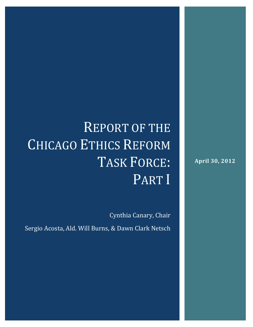# REPORT OF THE CHICAGO ETHICS REFORM TASK FORCE: PART I

Cynthia Canary, Chair

Sergio Acosta, Ald. Will Burns, & Dawn Clark Netsch

**April 30, 2012**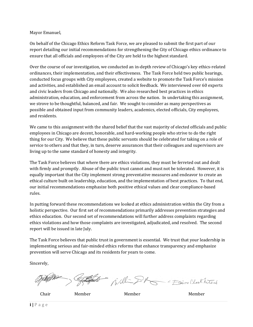#### Mayor Emanuel,

On behalf of the Chicago Ethics Reform Task Force, we are pleased to submit the first part of our report detailing our initial recommendations for strengthening the City of Chicago ethics ordinance to ensure that all officials and employees of the City are held to the highest standard.

Over the course of our investigation, we conducted an in-depth review of Chicago's key ethics-related ordinances, their implementation, and their effectiveness. The Task Force held two public hearings, conducted focus groups with City employees, created a website to promote the Task Force's mission and activities, and established an email account to solicit feedback. We interviewed over 60 experts and civic leaders from Chicago and nationally. We also researched best practices in ethics administration, education, and enforcement from across the nation. In undertaking this assignment, we strove to be thoughtful, balanced, and fair. We sought to consider as many perspectives as possible and obtained input from community leaders, academics, elected officials, City employees, and residents.

We came to this assignment with the shared belief that the vast majority of elected officials and public employees in Chicago are decent, honorable, and hard‐working people who strive to do the right thing for our City. We believe that these public servants should be celebrated for taking on a role of service to others and that they, in turn, deserve assurances that their colleagues and supervisors are living up to the same standard of honesty and integrity.

The Task Force believes that where there are ethics violations, they must be ferreted out and dealt with firmly and promptly. Abuse of the public trust cannot and must not be tolerated. However, it is equally important that the City implement strong preventative measures and endeavor to create an ethical culture built on leadership, education, and the implementation of best practices. To that end, our initial recommendations emphasize both positive ethical values and clear compliance‐based rules.

In putting forward these recommendations we looked at ethics administration within the City from a holistic perspective. Our first set of recommendations primarily addresses prevention strategies and ethics education. Our second set of recommendations will further address complaints regarding ethics violations and how those complaints are investigated, adjudicated, and resolved. The second report will be issued in late July.

The Task Force believes that public trust in government is essential. We trust that your leadership in implementing serious and fair‐minded ethics reforms that enhance transparency and emphasize prevention will serve Chicago and its residents for years to come.

Sincerely,

- Will- DR For Laur Clark Netoch

Chair Member Member Member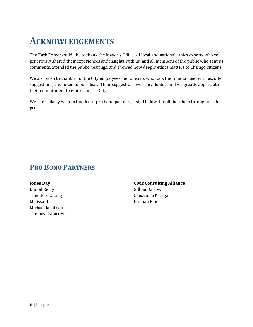## **ACKNOWLEDGEMENTS**

The Task Force would like to thank the Mayor's Office, all local and national ethics experts who so generously shared their experiences and insights with us, and all members of the public who sent us comments, attended the public hearings, and showed how deeply ethics matters to Chicago citizens.

We also wish to thank all of the City employees and officials who took the time to meet with us, offer suggestions, and listen to our ideas. Their suggestions were invaluable, and we greatly appreciate their commitment to ethics and the City.

We particularly wish to thank our pro bono partners, listed below, for all their help throughout this process.

### **PRO BONO PARTNERS**

**Jones Day** Daniel Reidy Theodore Chung Melissa Hirst Michael Jacobsen Thomas Rybarczyk **Civic Consulting Alliance** Gillian Darlow Constance Kresge Hannah Fine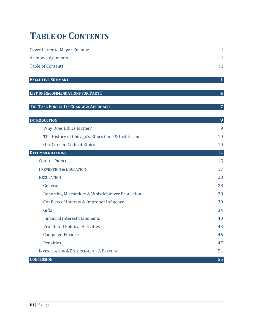## **TABLE OF CONTENTS**

| <b>Cover Letter to Mayor Emanuel</b>                | i              |
|-----------------------------------------------------|----------------|
| Acknowledgements                                    | ii             |
| <b>Table of Contents</b>                            | iii            |
| <b>EXECUTIVE SUMMARY</b>                            | $\mathbf 1$    |
| <b>LIST OF RECOMMENDATIONS FOR PART I</b>           | 4              |
| THE TASK FORCE: ITS CHARGE & APPROACH               | $\overline{7}$ |
| <b>INTRODUCTION</b>                                 | 9              |
| <b>Why Does Ethics Matter?</b>                      | 9              |
| The History of Chicago's Ethics Code & Institutions | 10             |
| Our Current Code of Ethics                          | 10             |
| <b>RECOMMENDATIONS</b>                              | 14             |
| <b>CODE OF PRINCIPLES</b>                           | 15             |
| PREVENTION & EDUCATION                              | 17             |
| <b>REGULATION</b>                                   | 28             |
| General                                             | 28             |
| Reporting Misconduct & Whistleblower Protection     | 28             |
| Conflicts of Interest & Improper Influence          | 30             |
| Gifts                                               | 34             |
| <b>Financial Interest Statements</b>                | 40             |
| <b>Prohibited Political Activities</b>              | 43             |
| <b>Campaign Finance</b>                             | 46             |
| Penalties                                           | 47             |
| <b>INVESTIGATION &amp; ENFORCEMENT: A PREVIEW</b>   | 51             |
| <b>CONCLUSION</b>                                   | 55             |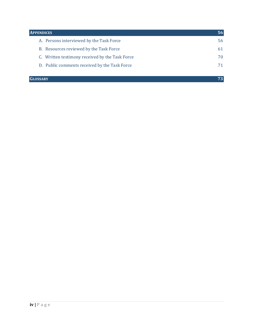| <b>APPENDICES</b>                               | 56 |
|-------------------------------------------------|----|
| A. Persons interviewed by the Task Force        | 56 |
| B. Resources reviewed by the Task Force         | 61 |
| C. Written testimony received by the Task Force | 70 |
| D. Public comments received by the Task Force   |    |
|                                                 |    |
| <b>GLOSSARY</b>                                 |    |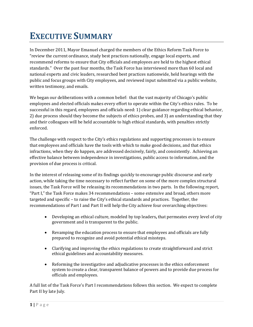## **EXECUTIVE SUMMARY**

In December 2011, Mayor Emanuel charged the members of the Ethics Reform Task Force to "review the current ordinance, study best practices nationally, engage local experts, and recommend reforms to ensure that City officials and employees are held to the highest ethical standards." Over the past four months, the Task Force has interviewed more than 60 local and national experts and civic leaders, researched best practices nationwide, held hearings with the public and focus groups with City employees, and reviewed input submitted via a public website, written testimony, and emails.

We began our deliberations with a common belief: that the vast majority of Chicago's public employees and elected officials makes every effort to operate within the City's ethics rules. To be successful in this regard, employees and officials need: 1) clear guidance regarding ethical behavior, 2) due process should they become the subjects of ethics probes, and 3) an understanding that they and their colleagues will be held accountable to high ethical standards, with penalties strictly enforced.

The challenge with respect to the City's ethics regulations and supporting processes is to ensure that employees and officials have the tools with which to make good decisions, and that ethics infractions, when they do happen, are addressed decisively, fairly, and consistently. Achieving an effective balance between independence in investigations, public access to information, and the provision of due process is critical.

In the interest of releasing some of its findings quickly to encourage public discourse and early action, while taking the time necessary to reflect further on some of the more complex structural issues, the Task Force will be releasing its recommendations in two parts. In the following report, "Part I," the Task Force makes 34 recommendations – some extensive and broad, others more targeted and specific – to raise the City's ethical standards and practices. Together, the recommendations of Part I and Part II will help the City achieve four overarching objectives:

- Developing an ethical culture, modeled by top leaders**,** that permeates every level of city government and is transparent to the public.
- Revamping the education process to ensure that employees and officials are fully prepared to recognize and avoid potential ethical missteps.
- Clarifying and improving the ethics regulations to create straightforward and strict ethical guidelines and accountability measures.
- Reforming the investigative and adjudicative processes in the ethics enforcement system to create a clear, transparent balance of powers and to provide due process for officials and employees.

A full list of the Task Force's Part I recommendations follows this section. We expect to complete Part II by late July.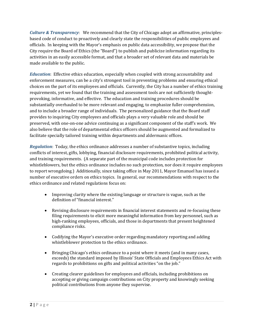*Culture & Transparency*: We recommend that the City of Chicago adopt an affirmative, principles‐ based code of conduct to proactively and clearly state the responsibilities of public employees and officials. In keeping with the Mayor's emphasis on public data accessibility, we propose that the City require the Board of Ethics (the "Board") to publish and publicize information regarding its activities in an easily accessible format, and that a broader set of relevant data and materials be made available to the public.

*Education*: Effective ethics education, especially when coupled with strong accountability and enforcement measures, can be a city's strongest tool in preventing problems and ensuring ethical choices on the part of its employees and officials. Currently, the City has a number of ethics training requirements, yet we found that the training and assessment tools are not sufficiently thoughtprovoking, informative, and effective. The education and training procedures should be substantially overhauled to be more relevant and engaging, to emphasize fuller comprehension, and to include a broader range of individuals. The personalized guidance that the Board staff provides to inquiring City employees and officials plays a very valuable role and should be preserved, with one‐on‐one advice continuing as a significant component of the staff's work. We also believe that the role of departmental ethics officers should be augmented and formalized to facilitate specially tailored training within departments and aldermanic offices.

*Regulation*: Today, the ethics ordinance addresses a number of substantive topics, including conflicts of interest, gifts, lobbying, financial disclosure requirements, prohibited political activity, and training requirements. (A separate part of the municipal code includes protection for whistleblowers, but the ethics ordinance includes no such protection, nor does it require employees to report wrongdoing.) Additionally, since taking office in May 2011, Mayor Emanuel has issued a number of executive orders on ethics topics. In general, our recommendations with respect to the ethics ordinance and related regulations focus on:

- Improving clarity where the existing language or structure is vague, such as the definition of "financial interest."
- Revising disclosure requirements in financial interest statements and re-focusing these filing requirements to elicit more meaningful information from key personnel, such as high-ranking employees, officials, and those in departments that present heightened compliance risks.
- Codifying the Mayor's executive order regarding mandatory reporting and adding whistleblower protection to the ethics ordinance.
- Bringing Chicago's ethics ordinance to a point where it meets (and in many cases, exceeds) the standard imposed by Illinois' State Officials and Employees Ethics Act with regards to prohibitions on gifts and political activities "on the job."
- Creating clearer guidelines for employees and officials, including prohibitions on accepting or giving campaign contributions on City property and knowingly seeking political contributions from anyone they supervise.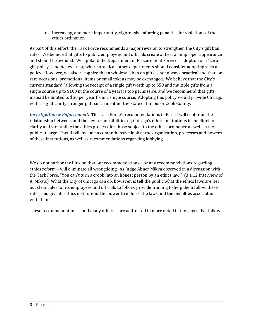• Increasing, and more importantly, vigorously enforcing penalties for violations of the ethics ordinance.

As part of this effort, the Task Force recommends a major revision to strengthen the City's gift ban rules. We believe that gifts to public employees and officials create at best an improper appearance and should be avoided. We applaud the Department of Procurement Services' adoption of a "zerogift policy," and believe that, where practical, other departments should consider adopting such a policy. However, we also recognize that a wholesale ban on gifts is not always practical and that, on rare occasions, promotional items or small tokens may be exchanged. We believe that the City's current standard (allowing the receipt of a single gift worth up to \$50 and multiple gifts from a single source up to \$100 in the course of a year) is too permissive, and we recommend that gifts instead be limited to \$50 per year from a single source. Adopting this policy would provide Chicago with a significantly stronger gift ban than either the State of Illinois or Cook County.

*Investigation & Enforcement:* The Task Force's recommendations in Part II will center on the relationship between, and the key responsibilities of, Chicago's ethics institutions in an effort to clarify and streamline the ethics process, for those subject to the ethics ordinance as well as the public at large. Part II will include a comprehensive look at the organization, processes and powers of these institutions, as well as recommendations regarding lobbying.

These recommendations – and many others – are addressed in more detail in the pages that follow.

We do not harbor the illusion that our recommendations - or any recommendations regarding ethics reform – will eliminate all wrongdoing. As Judge Abner Mikva observed in a discussion with the Task Force, "You can't turn a crook into an honest person by an ethics law." (3.1.12 Interview of A. Mikva.) What the City of Chicago can do, however, is tell the public what the ethics laws are, set out clear rules for its employees and officials to follow, provide training to help them follow these rules, and give its ethics institutions the power to enforce the laws and the penalties associated with them.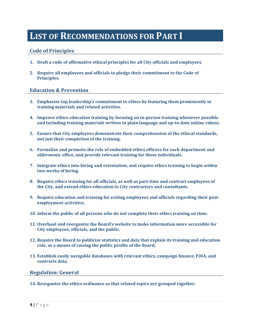### **LIST OF RECOMMENDATIONS FOR PART I**

#### **Code of Principles**

- **1. Draft a code of affirmative ethical principles for all City officials and employees.**
- **2. Require all employees and officials to pledge their commitment to the Code of Principles.**

#### **Education & Prevention**

- **3. Emphasize top leadership's commitment to ethics by featuring them prominently in training materials and related activities.**
- **4. Improve ethics education training by focusing on inperson training whenever possible and including training materials written in plain language and uptodate online videos.**
- **5. Ensure that City employees demonstrate their comprehension of the ethical standards, not just their completion of the training.**
- **6. Formalize and promote the role of embedded ethics officers for each department and aldermanic office, and provide relevant training for these individuals.**
- **7. Integrate ethics into hiring and orientation, and require ethics training to begin within two weeks of hiring.**
- **8. Require ethics training for all officials, as well as parttime and contract employees of the City, and extend ethics education to City contractors and consultants.**
- **9. Require education and training for exiting employees and officials regarding their postemployment activities.**
- **10. Inform the public of all persons who do not complete their ethics training on time.**
- **11. Overhaul and reorganize the Board's website to make information more accessible for City employees, officials, and the public.**
- **12. Require the Board to publicize statistics and data that explain its training and education role, as a means of raising the public profile of the Board.**
- **13. Establish easily navigable databases with relevant ethics, campaign finance, FOIA, and contracts data.**

#### **Regulation: General**

**14. Reorganize the ethics ordinance so that related topics are grouped together.**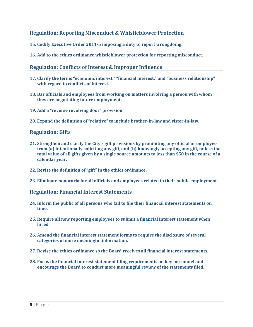#### **Regulation: Reporting Misconduct & Whistleblower Protection**

- **15. Codify Executive Order 20115 imposing a duty to report wrongdoing.**
- **16. Add to the ethics ordinance whistleblower protection for reporting misconduct.**

#### **Regulation: Conflicts of Interest & Improper Influence**

- **17. Clarify the terms "economic interest," "financial interest," and "business relationship" with regard to conflicts of interest.**
- **18. Bar officials and employees from working on matters involving a person with whom they are negotiating future employment.**
- **19. Add a "reverse revolving door" provision.**
- **20. Expand the definition of "relative" to include brotherinlaw and sisterinlaw.**

#### **Regulation: Gifts**

- **21. Strengthen and clarify the City's gift provisions by prohibiting any official or employee from (a) intentionally soliciting any gift, and (b) knowingly accepting any gift, unless the** total value of all gifts given by a single source amounts to less than \$50 in the course of a **calendar year.**
- **22. Revise the definition of "gift" in the ethics ordinance.**
- **23. Eliminate honoraria for all officials and employees related to their public employment.**

#### **Regulation: Financial Interest Statements**

- **24. Inform the public of all persons who fail to file their financial interest statements on time.**
- **25. Require all new reporting employees to submit a financial interest statement when hired.**
- **26. Amend the financial interest statement forms to require the disclosure of several categories of more meaningful information.**
- **27. Revise the ethics ordinance so the Board receives all financial interest statements.**
- **28. Focus the financial interest statement filing requirements on key personnel and encourage the Board to conduct more meaningful review of the statements filed.**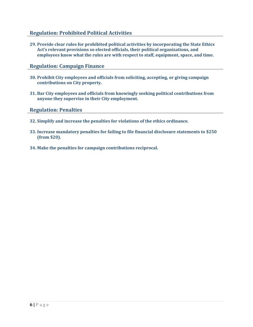#### **Regulation: Prohibited Political Activities**

**29. Provide clear rules for prohibited political activities by incorporating the State Ethics Act's relevant provisions so elected officials, their political organizations, and employees know what the rules are with respect to staff, equipment, space, and time.**

#### **Regulation: Campaign Finance**

- **30. Prohibit City employees and officials from soliciting, accepting, or giving campaign contributions on City property.**
- **31. Bar City employees and officials from knowingly seeking political contributions from anyone they supervise in their City employment.**

#### **Regulation: Penalties**

- **32. Simplify and increase the penalties for violations of the ethics ordinance.**
- **33. Increase mandatory penalties for failing to file financial disclosure statements to \$250 (from \$20).**
- **34. Make the penalties for campaign contributions reciprocal.**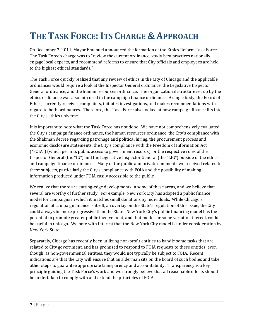## **THE TASK FORCE:ITS CHARGE & APPROACH**

On December 7, 2011, Mayor Emanuel announced the formation of the Ethics Reform Task Force. The Task Force's charge was to "review the current ordinance, study best practices nationally, engage local experts, and recommend reforms to ensure that City officials and employees are held to the highest ethical standards."

The Task Force quickly realized that any review of ethics in the City of Chicago and the applicable ordinances would require a look at the Inspector General ordinance, the Legislative Inspector General ordinance, and the human resources ordinance. The organizational structure set up by the ethics ordinance was also mirrored in the campaign finance ordinance. A single body, the Board of Ethics, currently receives complaints, initiates investigations, and makes recommendations with regard to both ordinances. Therefore, this Task Force also looked at how campaign finance fits into the City's ethics universe.

It is important to note what the Task Force has not done. We have not comprehensively evaluated the City's campaign finance ordinance, the human resources ordinance, the City's compliance with the Shakman decree regarding patronage and political hiring, the procurement process and economic disclosure statements, the City's compliance with the Freedom of Information Act ("FOIA") (which permits public access to government records), or the respective roles of the Inspector General (the "IG") and the Legislative Inspector General (the "LIG") outside of the ethics and campaign finance ordinances. Many of the public and private comments we received related to these subjects, particularly the City's compliance with FOIA and the possibility of making information produced under FOIA easily accessible to the public.

We realize that there are cutting-edge developments in some of these areas, and we believe that several are worthy of further study. For example, New York City has adopted a public finance model for campaigns in which it matches small donations by individuals. While Chicago's regulation of campaign finance is itself, an overlay on the State's regulation of this issue, the City could always be more progressive than the State. New York City's public financing model has the potential to promote greater public involvement, and that model, or some variation thereof, could be useful in Chicago. We note with interest that the New York City model is under consideration by New York State.

Separately, Chicago has recently been utilizing non‐profit entities to handle some tasks that are related to City government, and has promised to respond to FOIA requests to these entities, even though, as non‐governmental entities, they would not typically be subject to FOIA. Recent indications are that the City will ensure that an alderman sits on the board of such bodies and take other steps to guarantee appropriate transparency and accountability. Transparency is a key principle guiding the Task Force's work and we strongly believe that all reasonable efforts should be undertaken to comply with and extend the principles of FOIA.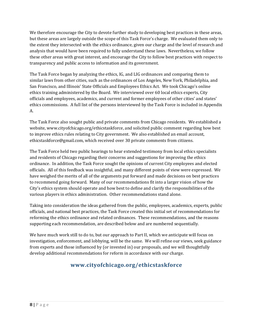We therefore encourage the City to devote further study to developing best practices in these areas, but these areas are largely outside the scope of this Task Force's charge. We evaluated them only to the extent they intersected with the ethics ordinance, given our charge and the level of research and analysis that would have been required to fully understand these laws. Nevertheless, we follow these other areas with great interest, and encourage the City to follow best practices with respect to transparency and public access to information and its government.

The Task Force began by analyzing the ethics, IG, and LIG ordinances and comparing them to similar laws from other cities, such as the ordinances of Los Angeles, New York, Philadelphia, and San Francisco, and Illinois' State Officials and Employees Ethics Act. We took Chicago's online ethics training administered by the Board. We interviewed over 60 local ethics experts, City officials and employees, academics, and current and former employees of other cities' and states' ethics commissions. A full list of the persons interviewed by the Task Force is included in Appendix A.

The Task Force also sought public and private comments from Chicago residents. We established a website, www.cityofchicago.org/ethicstaskforce, and solicited public comment regarding how best to improve ethics rules relating to City government. We also established an email account, ethicstaskforce@gmail.com, which received over 30 private comments from citizens.

The Task Force held two public hearings to hear extended testimony from local ethics specialists and residents of Chicago regarding their concerns and suggestions for improving the ethics ordinance. In addition, the Task Force sought the opinions of current City employees and elected officials. All of this feedback was insightful, and many different points of view were expressed. We have weighed the merits of all of the arguments put forward and made decisions on best practices to recommend going forward. Many of our recommendations fit into a larger vision of how the City's ethics system should operate and how best to define and clarify the responsibilities of the various players in ethics administration. Other recommendations stand alone.

Taking into consideration the ideas gathered from the public, employees, academics, experts, public officials, and national best practices, the Task Force created this initial set of recommendations for reforming the ethics ordinance and related ordinances. These recommendations, and the reasons supporting each recommendation, are described below and are numbered sequentially.

We have much work still to do to, but our approach to Part II, which we anticipate will focus on investigation, enforcement, and lobbying, will be the same. We will refine our views, seek guidance from experts and those influenced by (or invested in) our proposals, and we will thoughtfully develop additional recommendations for reform in accordance with our charge.

### **www.cityofchicago.org/ethicstaskforce**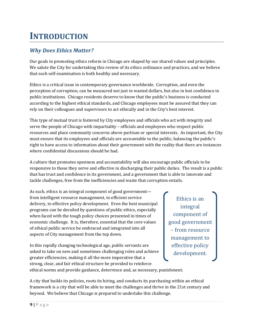## **INTRODUCTION**

### *Why Does Ethics Matter?*

Our goals in promoting ethics reform in Chicago are shaped by our shared values and principles. We salute the City for undertaking this review of its ethics ordinance and practices, and we believe that such self‐examination is both healthy and necessary.

Ethics is a critical issue in contemporary governance worldwide. Corruption, and even the perception of corruption, can be measured not just in wasted dollars, but also in lost confidence in public institutions. Chicago residents deserve to know that the public's business is conducted according to the highest ethical standards, and Chicago employees must be assured that they can rely on their colleagues and supervisors to act ethically and in the City's best interest.

This type of mutual trust is fostered by City employees and officials who act with integrity and serve the people of Chicago with impartiality – officials and employees who respect public resources and place community concerns above partisan or special interests. As important, the City must ensure that its employees and officials are accountable to the public, balancing the public's right to have access to information about their government with the reality that there are instances where confidential discussions should be had.

A culture that promotes openness and accountability will also encourage public officials to be responsive to those they serve and effective in discharging their public duties. The result is a public that has trust and confidence in its government, and a government that is able to innovate and tackle challenges, free from the inefficiencies and waste that corruption entails.

As such, ethics is an integral component of good government from intelligent resource management, to efficient service delivery, to effective policy development. Even the best municipal programs can be derailed by questions of public ethics, especially when faced with the tough policy choices presented in times of economic challenge. It is, therefore, essential that the core values of ethical public service be embraced and integrated into all aspects of City management from the top down.

In this rapidly changing technological age, public servants are asked to take on new and sometimes challenging roles and achieve greater efficiencies, making it all the more imperative that a strong, clear, and fair ethical structure be provided to reinforce

Ethics is an integral component of good government – from resource management to effective policy development.

ethical norms and provide guidance, deterrence and, as necessary, punishment.

A city that builds its policies, roots its hiring, and conducts its purchasing within an ethical framework is a city that will be able to meet the challenges and thrive in the 21st century and beyond. We believe that Chicago is prepared to undertake this challenge.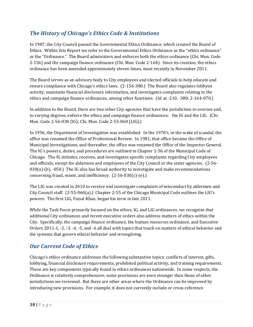### *The History of Chicago's Ethics Code & Institutions*

In 1987, the City Council passed the Governmental Ethics Ordinance, which created the Board of Ethics. Within this Report we refer to the Governmental Ethics Ordinance as the "ethics ordinance" or the "Ordinance." The Board administers and enforces both the ethics ordinance (Chi. Mun. Code 2‐156) and the campaign finance ordinance (Chi. Mun. Code 2‐164). Since its creation, the ethics ordinance has been amended approximately eleven times, most recently in November 2011.

The Board serves as an advisory body to City employees and elected officials to help educate and ensure compliance with Chicago's ethics laws. (2‐156‐380.) The Board also regulates lobbyist activity, maintains financial disclosure information, and investigates complaints relating to the ethics and campaign finance ordinances, among other functions. (*Id.* at ‐210, ‐380; 2‐164‐070.)

In addition to the Board, there are two other City agencies that have the jurisdiction to oversee and, to varying degrees, enforce the ethics and campaign finance ordinances: the IG and the LIG. (Chi. Mun. Code 2‐56‐030 (IG); Chi. Mun. Code 2‐55‐060 (LIG).)

In 1956, the Department of Investigation was established. In the 1970's, in the wake of scandal, the office was renamed the Office of Professional Review. In 1981, that office became the Office of Municipal Investigations, and thereafter, the office was renamed the Office of the Inspector General. The IG's powers, duties, and procedures are outlined in Chapter 2‐56 of the Municipal Code of Chicago. The IG initiates, receives, and investigates specific complaints regarding City employees and officials, except for aldermen and employees of the City Council or the sister agencies. (2‐56‐  $030(a)$ -(b),  $-050$ .) The IG also has broad authority to investigate and make recommendations concerning fraud, waste, and inefficiency.  $(2-56-030(c)-(e).)$ 

The LIG was created in 2010 to receive and investigate complaints of misconduct by aldermen and City Council staff. (2‐55‐060(a).) Chapter 2‐55 of the Chicago Municipal Code outlines the LIG's powers. The first LIG, Faisal Khan, began his term in late 2011.

While the Task Force primarily focused on the ethics, IG, and LIG ordinances, we recognize that additional City ordinances and recent executive orders also address matters of ethics within the City. Specifically, the campaign finance ordinance, the human resources ordinance, and Executive Orders 2011-1, -2, -3, -4, -5, and -6 all deal with topics that touch on matters of ethical behavior and the systems that govern ethical behavior and wrongdoing.

#### *Our Current Code of Ethics*

Chicago's ethics ordinance addresses the following substantive topics: conflicts of interest, gifts, lobbying, financial disclosure requirements, prohibited political activity, and training requirements. These are key components typically found in ethics ordinances nationwide. In some respects, the Ordinance is relatively comprehensive; some provisions are even stronger than those of other jurisdictions we reviewed. But there are other areas where the Ordinance can be improved by introducing new provisions. For example, it does not currently include or cross-reference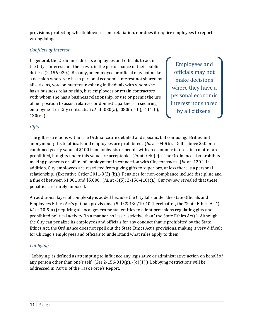provisions protecting whistleblowers from retaliation, nor does it require employees to report wrongdoing.

#### *Conflicts of Interest*

In general, the Ordinance directs employees and officials to act in the City's interest, not their own, in the performance of their public duties. (2‐156‐020.) Broadly, an employee or official may not make a decision where she has a personal economic interest not shared by all citizens, vote on matters involving individuals with whom she has a business relationship, hire employees or retain contractors with whom she has a business relationship, or use or permit the use of her position to assist relatives or domestic partners in securing employment or City contracts. (*Id.* at ‐030(a), ‐080(a)‐(b), ‐111(b), ‐ 130(c).)

Employees and officials may not make decisions where they have a personal economic interest not shared by all citizens.

#### *Gifts*

The gift restrictions within the Ordinance are detailed and specific, but confusing. Bribes and anonymous gifts to officials and employees are prohibited. (*Id.* at ‐040(b).) Gifts above \$50 or a combined yearly value of \$100 from lobbyists or people with an economic interest in a matter are prohibited, but gifts under this value are acceptable. *(Id.* at -040(c).) The Ordinance also prohibits making payments or offers of employment in connection with City contracts. (*Id.* at ‐120.) In addition, City employees are restricted from giving gifts to superiors, unless there is a personal relationship. (Executive Order 2011‐3(2) (b).) Penalties for non‐compliance include discipline and a fine of between \$1,001 and \$5,000. (*Id.* at ‐3(5); 2‐156‐410(c).) Our review revealed that these penalties are rarely imposed.

An additional layer of complexity is added because the City falls under the State Officials and Employees Ethics Act's gift ban provisions. (5 ILCS 430/10-10 (hereinafter, the "State Ethics Act"); *Id.* at 70-5(a) (requiring all local governmental entities to adopt provisions regulating gifts and prohibited political activity "in a manner no less restrictive than" the State Ethics Act).) Although the City can penalize its employees and officials for any conduct that is prohibited by the State Ethics Act, the Ordinance does not spell out the State Ethics Act's provisions, making it very difficult for Chicago's employees and officials to understand what rules apply to them.

#### *Lobbying*

"Lobbying" is defined as attempting to influence any legislative or administrative action on behalf of any person other than one's self. (*See* 2‐156‐010(p), ‐(o)(1).) Lobbying restrictions will be addressed in Part II of the Task Force's Report.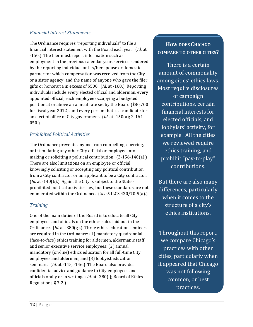#### *Financial Interest Statements*

The Ordinance requires "reporting individuals" to file a financial interest statement with the Board each year. (*Id.* at ‐150.) The filer must report information such as employment in the previous calendar year, services rendered by the reporting individual or his/her spouse or domestic partner for which compensation was received from the City or a sister agency, and the name of anyone who gave the filer gifts or honoraria in excess of \$500. (*Id.* at ‐160.) Reporting individuals include every elected official and alderman, every appointed official, each employee occupying a budgeted position at or above an annual rate set by the Board (\$80,700 for fiscal year 2012), and every person that is a candidate for an elected office of City government. (*Id.* at ‐150(a); 2‐164‐ 050.)

#### *Prohibited Political Activities*

The Ordinance prevents anyone from compelling, coercing, or intimidating any other City official or employee into making or soliciting a political contribution. (2‐156‐140(a).) There are also limitations on an employee or official knowingly soliciting or accepting any political contribution from a City contractor or an applicant to be a City contractor. (*Id.* at -140(b).) Again, the City is subject to the State's prohibited political activities law, but these standards are not enumerated within the Ordinance. (*See* 5 ILCS 430/70‐5(a).)

#### *Training*

One of the main duties of the Board is to educate all City employees and officials on the ethics rules laid out in the Ordinance. (*Id.* at ‐380(g).) Three ethics education seminars are required in the Ordinance: (1) mandatory quadrennial (face‐to‐face) ethics training for aldermen, aldermanic staff and senior executive service employees; (2) annual mandatory (on-line) ethics education for all full-time City employees and aldermen; and (3) lobbyist education seminars. (*Id.* at -145, -146.) The Board also provides confidential advice and guidance to City employees and officials orally or in writing. (*Id.* at ‐380(l); Board of Ethics Regulations § 3‐2.)

### **HOW DOES CHICAGO COMPARE TO OTHER CITIES?**

There is a certain amount of commonality among cities' ethics laws. Most require disclosures of campaign contributions, certain financial interests for elected officials, and lobbyists' activity, for example. All the cities we reviewed require ethics training, and prohibit "pay‐to‐play" contributions.

But there are also many differences, particularly when it comes to the structure of a city's ethics institutions.

Throughout this report, we compare Chicago's practices with other cities, particularly when it appeared that Chicago was not following common, or best practices.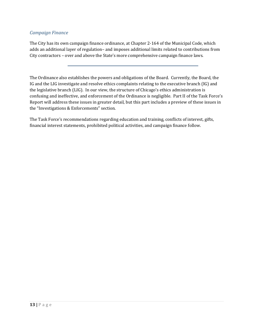#### *Campaign Finance*

The City has its own campaign finance ordinance, at Chapter 2‐164 of the Municipal Code, which adds an additional layer of regulation– and imposes additional limits related to contributions from City contractors – over and above the State's more comprehensive campaign finance laws.

The Ordinance also establishes the powers and obligations of the Board. Currently, the Board, the IG and the LIG investigate and resolve ethics complaints relating to the executive branch (IG) and the legislative branch (LIG). In our view, the structure of Chicago's ethics administration is confusing and ineffective, and enforcement of the Ordinance is negligible. Part II of the Task Force's Report will address these issues in greater detail, but this part includes a preview of these issues in the "Investigations & Enforcements" section.

The Task Force's recommendations regarding education and training, conflicts of interest, gifts, financial interest statements, prohibited political activities, and campaign finance follow.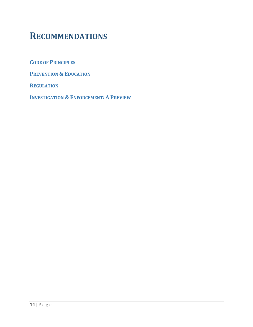### **RECOMMENDATIONS**

**CODE OF PRINCIPLES**

**PREVENTION & EDUCATION**

**REGULATION**

**INVESTIGATION & ENFORCEMENT: A PREVIEW**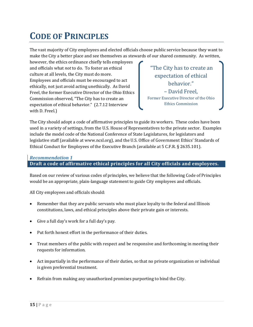## **CODE OF PRINCIPLES**

The vast majority of City employees and elected officials choose public service because they want to make the City a better place and see themselves as stewards of our shared community. As written,

however, the ethics ordinance chiefly tells employees and officials what *not* to do. To foster an ethical culture at all levels, the City must do more. Employees and officials must be encouraged to act ethically, not just avoid acting unethically. As David Freel, the former Executive Director of the Ohio Ethics Commission observed, "The City has to create an expectation of ethical behavior." (2.7.12 Interview with D. Freel.)

 "The City has to create an expectation of ethical behavior." – David Freel, Former Executive Director of the Ohio Ethics Commission

The City should adopt a code of affirmative principles to guide its workers. These codes have been used in a variety of settings, from the U.S. House of Representatives to the private sector. Examples include the model code of the National Conference of State Legislatures, for legislators and legislative staff (available at www.ncsl.org), and the U.S. Office of Government Ethics' Standards of Ethical Conduct for Employees of the Executive Branch (available at 5 C.F.R. § 2635.101).

#### *Recommendation 1*

#### **Draft a code of affirmative ethical principles for all City officials and employees.**

Based on our review of various codes of principles, we believe that the following Code of Principles would be an appropriate, plain‐language statement to guide City employees and officials.

All City employees and officials should:

- Remember that they are public servants who must place loyalty to the federal and Illinois constitutions, laws, and ethical principles above their private gain or interests.
- Give a full day's work for a full day's pay.
- Put forth honest effort in the performance of their duties.
- Treat members of the public with respect and be responsive and forthcoming in meeting their requests for information.
- Act impartially in the performance of their duties, so that no private organization or individual is given preferential treatment.
- Refrain from making any unauthorized promises purporting to bind the City.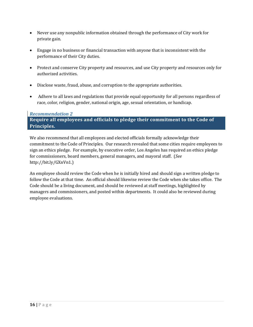- Never use any nonpublic information obtained through the performance of City work for private gain.
- Engage in no business or financial transaction with anyone that is inconsistent with the performance of their City duties.
- Protect and conserve City property and resources, and use City property and resources only for authorized activities.
- Disclose waste, fraud, abuse, and corruption to the appropriate authorities.
- Adhere to all laws and regulations that provide equal opportunity for all persons regardless of race, color, religion, gender, national origin, age, sexual orientation, or handicap.

#### *Recommendation 2*

#### **Require all employees and officials to pledge their commitment to the Code of Principles.**

We also recommend that all employees and elected officials formally acknowledge their commitment to the Code of Principles. Our research revealed that some cities require employees to sign an ethics pledge. For example, by executive order, Los Angeles has required an ethics pledge for commissioners, board members, general managers, and mayoral staff. (*See* http://bit.ly/GXnVn1.)

An employee should review the Code when he is initially hired and should sign a written pledge to follow the Code at that time. An official should likewise review the Code when she takes office. The Code should be a living document, and should be reviewed at staff meetings, highlighted by managers and commissioners, and posted within departments. It could also be reviewed during employee evaluations.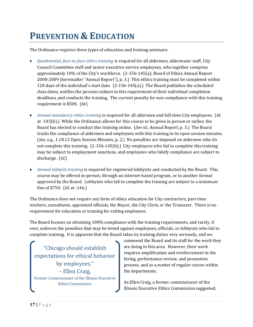## **PREVENTION & EDUCATION**

The Ordinance requires three types of education and training seminars:

- *Quadrennial, facetoface ethics training* is required for all aldermen, aldermanic staff, City Council Committee staff and senior executive service employees, who together comprise approximately 10% of the City's workforce. (2‐156‐145(a); Board of Ethics Annual Report 2008‐2009 (hereinafter "Annual Report"), p. 3.) This ethics training must be completed within 120 days of the individual's start date. (2‐156‐145(a).) The Board publishes the scheduled class dates, notifies the persons subject to this requirement of their individual completion deadlines, and conducts the training. The current penalty for non‐compliance with this training requirement is \$500. (*Id.*)
- *Annual mandatory ethics training* is required for all aldermen and full‐time City employees. (*Id.* at ‐145(b).) While the Ordinance allows for this course to be given in person or online, the Board has elected to conduct this training online. (*See id.*; Annual Report, p. 3.) The Board tracks the compliance of aldermen and employees with this training in its open session minutes. (*See, e.g.*, 1.18.12 Open Session Minutes, p. 2.) No penalties are imposed on aldermen who do not complete this training.  $(2-156-145(b))$  City employees who fail to complete this training may be subject to employment sanctions, and employees who falsify compliance are subject to discharge. (*Id.*)
- *Annual lobbyist training* is required for registered lobbyists and conducted by the Board. This course may be offered in‐person, through an internet‐based program, or in another format approved by the Board. Lobbyists who fail to complete the training are subject to a minimum fine of \$750. (*Id.* at ‐146.)

The Ordinance does not require any form of ethics education for City contractors, part‐time workers, consultants, appointed officials, the Mayor, the City Clerk, or the Treasurer. There is no requirement for education or training for exiting employees.

The Board focuses on obtaining 100% compliance with the training requirements, and rarely, if ever, enforces the penalties that may be levied against employees, officials, or lobbyists who fail to complete training. It is apparent that the Board takes its training duties very seriously, and we

"Chicago should establish expectations for ethical behavior by employees." – Ellen Craig, Former Commissioner of the Illinois Executive Ethics Commission

commend the Board and its staff for the work they are doing in this area. However, their work requires amplification and reinforcement in the hiring, performance review, and promotion process, and as a matter of regular course within the departments.

As Ellen Craig, a former commissioner of the Illinois Executive Ethics Commission suggested,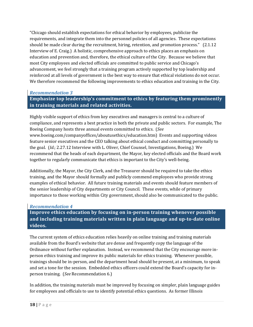"Chicago should establish expectations for ethical behavior by employees, publicize the requirements, and integrate them into the personnel policies of all agencies. These expectations should be made clear during the recruitment, hiring, retention, and promotion process." (2.1.12 Interview of E. Craig.) A holistic, comprehensive approach to ethics places an emphasis on education and prevention and, therefore, the ethical culture of the City. Because we believe that most City employees and elected officials are committed to public service and Chicago's advancement, we feel strongly that a training program actively supported by top leadership and reinforced at all levels of government is the best way to ensure that ethical violations do not occur. We therefore recommend the following improvements to ethics education and training in the City.

#### *Recommendation 3*

#### **Emphasize top leadership's commitment to ethics by featuring them prominently in training materials and related activities.**

Highly visible support of ethics from key executives and managers is central to a culture of compliance, and represents a best practice in both the private and public sectors. For example, The Boeing Company hosts three annual events committed to ethics. (*See* www.boeing.com/companyoffices/aboutusethics/education.htm) Events and supporting videos feature senior executives and the CEO talking about ethical conduct and committing personally to the goal. (*Id.*; 2.27.12 Interview with L. Oliver, Chief Counsel, Investigations, Boeing.) We recommend that the heads of each department, the Mayor, key elected officials and the Board work together to regularly communicate that ethics is important to the City's well‐being.

Additionally, the Mayor, the City Clerk, and the Treasurer should be required to take the ethics training, and the Mayor should formally and publicly commend employees who provide strong examples of ethical behavior. All future training materials and events should feature members of the senior leadership of City departments or City Council. These events, while of primary importance to those working within City government, should also be communicated to the public.

#### *Recommendation 4*

**Improve ethics education by focusing on inperson training whenever possible and including training materials written in plain language and uptodate online videos.**

The current system of ethics education relies heavily on online training and training materials available from the Board's website that are dense and frequently copy the language of the Ordinance without further explanation. Instead, we recommend that the City encourage more in‐ person ethics training and improve its public materials for ethics training. Whenever possible, trainings should be in‐person, and the department head should be present, at a minimum, to speak and set a tone for the session. Embedded ethics officers could extend the Board's capacity for in‐ person training. (*See* Recommendation 6.)

In addition, the training materials must be improved by focusing on simpler, plain language guides for employees and officials to use to identify potential ethics questions. As former Illinois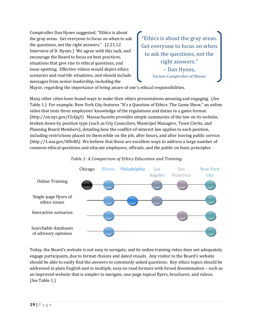Comptroller Dan Hynes suggested, "Ethics is about the gray areas. Get everyone to focus on when to ask the questions, not the right answers." (2.21.12 Interview of D. Hynes.) We agree with this tack, and encourage the Board to focus on best practices, situations that give rise to ethical questions, and issue spotting. Effective videos would depict ethics scenarios and real‐life situations, and should include messages from senior leadership, including the

"Ethics is about the gray areas. Get everyone to focus on when to ask the questions, not the right answers." – Dan Hynes, Former Comptroller of Illinois

Mayor, regarding the importance of being aware of one's ethical responsibilities.

Many other cities have found ways to make their ethics presentations amusing and engaging. (*See* Table 1.) For example, New York City features "It's a Question of Ethics: The Game Show," an online video that tests three employees' knowledge of the regulations and duties in a game format. (http://on.nyc.gov/I3cQq3) Massachusetts provides simple summaries of the law on its website, broken down by position type (such as City Councilors, Municipal Managers, Town Clerks, and Planning Board Members), detailing how the conflict‐of‐interest law applies to each position, including restrictions placed on them while on the job, after hours, and after leaving public service. (http://1.usa.gov/HllvBA) We believe that these are excellent ways to address a large number of common ethical questions and educate employees, officials, and the public on basic principles.





Today, the Board's website is not easy to navigate, and its online training video does not adequately engage participants, due to format choices and dated visuals. Any visitor to the Board's website should be able to easily find the answers to commonly‐asked questions. Key ethics topics should be addressed in plain English and in multiple, easy‐to‐read formats with broad dissemination – such as an improved website that is simpler to navigate, one‐page topical flyers, brochures, and videos. (*See* Table 1.)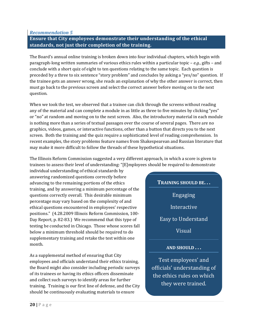#### *Recommendation 5*

#### **Ensure that City employees demonstrate their understanding of the ethical standards, not just their completion of the training.**

The Board's annual online training is broken down into four individual chapters, which begin with paragraph‐long written summaries of various ethics rules within a particular topic – *e.g.*, gifts – and conclude with a short quiz of eight to ten questions relating to the same topic. Each question is preceded by a three to six sentence "story problem" and concludes by asking a "yes/no" question. If the trainee gets an answer wrong, she reads an explanation of why the other answer is correct, then must go back to the previous screen and select the correct answer before moving on to the next question.

When we took the test, we observed that a trainee can click through the screens without reading any of the material and can complete a module in as little as three to five minutes by clicking "yes" or "no" at random and moving on to the next screen. Also, the introductory material in each module is nothing more than a series of textual passages over the course of several pages. There are no graphics, videos, games, or interactive functions, other than a button that directs you to the next screen. Both the training and the quiz require a sophisticated level of reading comprehension. In recent examples, the story problems feature names from Shakespearean and Russian literature that may make it more difficult to follow the threads of these hypothetical situations.

The Illinois Reform Commission suggested a very different approach, in which a score is given to trainees to assess their level of understanding: "[E]mployees should be required to demonstrate

individual understanding of ethical standards by answering randomized questions correctly before advancing to the remaining portions of the ethics training, and by answering a minimum percentage of the questions correctly overall. This desirable minimum percentage may vary based on the complexity of and ethical questions encountered in employees' respective positions." (4.28.2009 Illinois Reform Commission, 100‐ Day Report, p. 82‐83.) We recommend that this type of testing be conducted in Chicago. Those whose scores fall below a minimum threshold should be required to do supplementary training and retake the test within one month.

As a supplemental method of ensuring that City employees and officials understand their ethics training, the Board might also consider including periodic surveys of its trainees or having its ethics officers disseminate and collect such surveys to identify areas for further training. Training is our first line of defense, and the City should be continuously evaluating materials to ensure

### **TRAINING SHOULD BE. . .** Engaging Interactive

Easy to Understand

Visual

#### **AND SHOULD . . .**

Test employees' and officials' understanding of the ethics rules on which they were trained.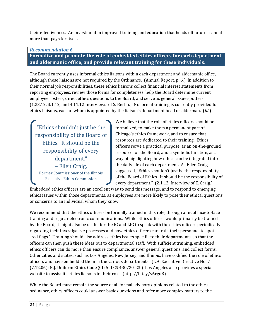their effectiveness. An investment in improved training and education that heads off future scandal more than pays for itself.

#### *Recommendation 6*

**Formalize and promote the role of embedded ethics officers for each department and aldermanic office, and provide relevant training for these individuals.**

The Board currently uses informal ethics liaisons within each department and aldermanic office, although these liaisons are not required by the Ordinance. (Annual Report, p. 6.) In addition to their normal job responsibilities, these ethics liaisons collect financial interest statements from reporting employees, review those forms for completeness, help the Board determine current employee rosters, direct ethics questions to the Board, and serve as general issue spotters. (1.23.12, 3.1.12, and 4.11.12 Interviews of S. Berlin.) No formal training is currently provided for ethics liaisons, each of whom is appointed by the liaison's department head or alderman. (*Id.*)

"Ethics shouldn't just be the responsibility of the Board of Ethics. It should be the responsibility of every department." – Ellen Craig, Former Commissioner of the Illinois Executive Ethics Commission

We believe that the role of ethics officers should be formalized, to make them a permanent part of Chicago's ethics framework, and to ensure that resources are dedicated to their training. Ethics officers serve a practical purpose, as an on‐the‐ground resource for the Board, and a symbolic function, as a way of highlighting how ethics can be integrated into the daily life of each department. As Ellen Craig suggested, "Ethics shouldn't just be the responsibility of the Board of Ethics. It should be the responsibility of every department." (2.1.12 Interview of E. Craig.)

Embedded ethics officers are an excellent way to send this message, and to respond to emerging ethics issues within those departments, as employees are more likely to pose their ethical questions or concerns to an individual whom they know.

We recommend that the ethics officers be formally trained in this role, through annual face-to-face training and regular electronic communications. While ethics officers would primarily be trained by the Board, it might also be useful for the IG and LIG to speak with the ethics officers periodically regarding their investigative processes and how ethics officers can train their personnel to spot "red flags." Training should also address ethics issues specific to their departments, so that the officers can then push these ideas out to departmental staff. With sufficient training, embedded ethics officers can do more than ensure compliance, answer general questions, and collect forms. Other cities and states, such as Los Angeles, New Jersey, and Illinois, have codified the role of ethics officers and have embedded them in the various departments. (L.A. Executive Directive No. 7  $(7.12.06)$ ; N.J. Uniform Ethics Code § 1; 5 ILCS 430/20-23.) Los Angeles also provides a special website to assist its ethics liaisons in their role. (http://bit.ly/y6rgdB)

While the Board must remain the source of all formal advisory opinions related to the ethics ordinance, ethics officers could answer basic questions and refer more complex matters to the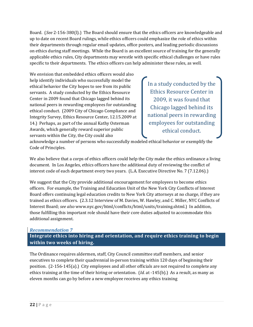Board. (*See* 2‐156‐380(l).) The Board should ensure that the ethics officers are knowledgeable and up to date on recent Board rulings, while ethics officers could emphasize the role of ethics within their departments through regular email updates, office posters, and leading periodic discussions on ethics during staff meetings. While the Board is an excellent source of training for the generally applicable ethics rules, City departments may wrestle with specific ethical challenges or have rules specific to their departments. The ethics officers can help administer these rules, as well.

We envision that embedded ethics officers would also help identify individuals who successfully model the ethical behavior the City hopes to see from its public servants. A study conducted by the Ethics Resource Center in 2009 found that Chicago lagged behind its national peers in rewarding employees for outstanding ethical conduct. (2009 City of Chicago Compliance and Integrity Survey, Ethics Resource Center, 12.15.2009 at 14.) Perhaps, as part of the annual Kathy Osterman Awards, which generally reward superior public servants within the City, the City could also

In a study conducted by the Ethics Resource Center in 2009, it was found that Chicago lagged behind its national peers in rewarding employees for outstanding ethical conduct.

acknowledge a number of persons who successfully modeled ethical behavior or exemplify the Code of Principles.

We also believe that a corps of ethics officers could help the City make the ethics ordinance a living document. In Los Angeles, ethics officers have the additional duty of reviewing the conflict of interest code of each department every two years. (L.A. Executive Directive No. 7 (7.12.06).)

We suggest that the City provide additional encouragement for employees to become ethics officers. For example, the Training and Education Unit of the New York City Conflicts of Interest Board offers continuing legal education credits to New York City attorneys at no charge, if they are trained as ethics officers. (2.3.12 Interview of M. Davies, W. Hawley, and C. Miller, NYC Conflicts of Interest Board; *see also* www.nyc.gov/html/conflicts/html/units/training.shtml.) In addition, those fulfilling this important role should have their core duties adjusted to accommodate this additional assignment.

#### *Recommendation 7*

**Integrate ethics into hiring and orientation, and require ethics training to begin within two weeks of hiring.**

The Ordinance requires aldermen, staff, City Council committee staff members, and senior executives to complete their quadrennial in‐person training within 120 days of beginning their position. (2‐156‐145(a).) City employees and all other officials are not required to complete any ethics training at the time of their hiring or orientation. *(Id.* at -145(b).) As a result, as many as eleven months can go by before a new employee receives any ethics training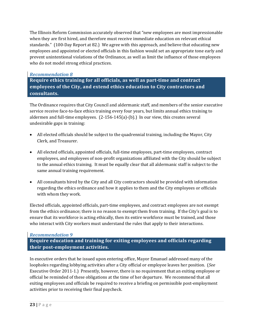The Illinois Reform Commission accurately observed that "new employees are most impressionable when they are first hired, and therefore must receive immediate education on relevant ethical standards." (100‐Day Report at 82.) We agree with this approach, and believe that educating new employees and appointed or elected officials in this fashion would set an appropriate tone early and prevent unintentional violations of the Ordinance, as well as limit the influence of those employees who do not model strong ethical practices.

#### *Recommendation 8*

**Require ethics training for all officials, as well as parttime and contract employees of the City, and extend ethics education to City contractors and consultants.**

The Ordinance requires that City Council and aldermanic staff, and members of the senior executive service receive face-to-face ethics training every four years, but limits annual ethics training to aldermen and full-time employees.  $(2-156-145(a)-(b)$ . In our view, this creates several undesirable gaps in training:

- All elected officials should be subject to the quadrennial training, including the Mayor, City Clerk, and Treasurer.
- All elected officials, appointed officials, full-time employees, part-time employees, contract employees, and employees of non‐profit organizations affiliated with the City should be subject to the annual ethics training. It must be equally clear that all aldermanic staff is subject to the same annual training requirement.
- All consultants hired by the City and all City contractors should be provided with information regarding the ethics ordinance and how it applies to them and the City employees or officials with whom they work.

Elected officials, appointed officials, part-time employees, and contract employees are not exempt from the ethics ordinance; there is no reason to exempt them from training. If the City's goal is to ensure that its workforce is acting ethically, then its entire workforce must be trained, and those who interact with City workers must understand the rules that apply to their interactions.

#### *Recommendation 9*

**Require education and training for exiting employees and officials regarding their postemployment activities.**

In executive orders that he issued upon entering office, Mayor Emanuel addressed many of the loopholes regarding lobbying activities after a City official or employee leaves her position. (*See* Executive Order 2011-1.) Presently, however, there is no requirement that an exiting employee or official be reminded of these obligations at the time of her departure. We recommend that all exiting employees and officials be required to receive a briefing on permissible post-employment activities prior to receiving their final paycheck.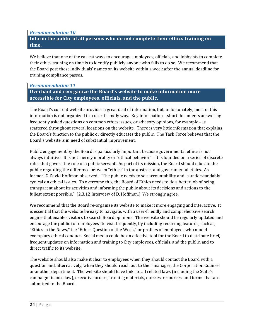#### *Recommendation 10*

#### **Inform the public of all persons who do not complete their ethics training on time.**

We believe that one of the easiest ways to encourage employees, officials, and lobbyists to complete their ethics training on time is to identify publicly anyone who fails to do so. We recommend that the Board post these individuals' names on its website within a week after the annual deadline for training compliance passes.

#### *Recommendation 11*

#### **Overhaul and reorganize the Board's website to make information more accessible for City employees, officials, and the public.**

The Board's current website provides a great deal of information, but, unfortunately, most of this information is not organized in a user-friendly way. Key information – short documents answering frequently asked questions on common ethics issues, or advisory opinions, for example – is scattered throughout several locations on the website. There is very little information that explains the Board's function to the public or directly educates the public. The Task Force believes that the Board's website is in need of substantial improvement.

Public engagement by the Board is particularly important because governmental ethics is not always intuitive. It is not merely morality or "ethical behavior" – it is founded on a series of discrete rules that govern the role of a public servant. As part of its mission, the Board should educate the public regarding the difference between "ethics" in the abstract and governmental ethics. As former IG David Hoffman observed: "The public needs to see accountability and is understandably cynical on ethical issues. To overcome this, the Board of Ethics needs to do a better job of being transparent about its activities and informing the public about its decisions and actions to the fullest extent possible." (2.3.12 Interview of D. Hoffman.) We strongly agree.

We recommend that the Board re-organize its website to make it more engaging and interactive. It is essential that the website be easy to navigate, with a user‐friendly and comprehensive search engine that enables visitors to search Board opinions. The website should be regularly updated and encourage the public (or employees) to visit frequently, by including recurring features, such as, "Ethics in the News," the "Ethics Question of the Week," or profiles of employees who model exemplary ethical conduct. Social media could be an effective tool for the Board to distribute brief, frequent updates on information and training to City employees, officials, and the public, and to direct traffic to its website.

The website should also make it clear to employees when they should contact the Board with a question and, alternatively, when they should reach out to their manager, the Corporation Counsel or another department. The website should have links to all related laws (including the State's campaign finance law), executive orders, training materials, quizzes, resources, and forms that are submitted to the Board.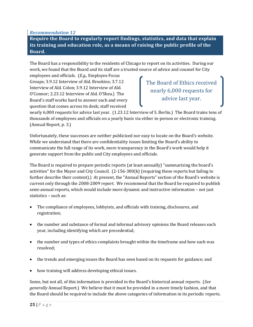*Recommendation 12*

**Require the Board to regularly report findings, statistics, and data that explain its training and education role, as a means of raising the public profile of the Board.**

The Board has a responsibility to the residents of Chicago to report on its activities. During our work, we found that the Board and its staff are a trusted source of advice and counsel for City

employees and officials. (*E.g.,* Employee Focus Groups; 3.9.12 Interview of Ald. Brookins; 3.7.12 Interview of Ald. Colon; 3.9.12 Interview of Ald. O'Connor; 2.23.12 Interview of Ald. O'Shea.) The Board's staff works hard to answer each and every question that comes across its desk; staff received

The Board of Ethics received nearly 6,000 requests for advice last year.

nearly 6,000 requests for advice last year. (1.23.12 Interview of S. Berlin.) The Board trains tens of thousands of employees and officials on a yearly basis via either in‐person or electronic training. (Annual Report, p. 3.)

Unfortunately, these successes are neither publicized nor easy to locate on the Board's website. While we understand that there are confidentiality issues limiting the Board's ability to communicate the full range of its work, more transparency in the Board's work would help it generate support from the public and City employees and officials.

The Board is required to prepare periodic reports (at least annually) "summarizing the board's activities" for the Mayor and City Council. (2‐156‐380(k) (requiring these reports but failing to further describe their content).) At present, the "Annual Reports" section of the Board's website is current only through the 2008‐2009 report. We recommend that the Board be required to publish semi-annual reports, which would include more dynamic and instructive information – not just statistics – such as:

- The compliance of employees, lobbyists, and officials with training, disclosures, and registration;
- the number and substance of formal and informal advisory opinions the Board releases each year, including identifying which are precedential;
- the number and types of ethics complaints brought within the timeframe and how each was resolved;
- the trends and emerging issues the Board has seen based on its requests for guidance; and
- how training will address developing ethical issues.

Some, but not all, of this information is provided in the Board's historical annual reports. (*See generally* Annual Report.) We believe that it must be provided in a more timely fashion, and that the Board should be required to include the above categories of information in its periodic reports.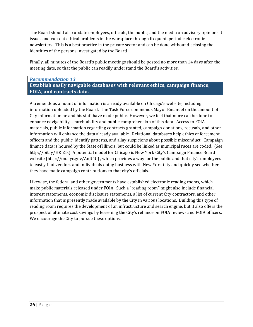The Board should also update employees, officials, the public, and the media on advisory opinions it issues and current ethical problems in the workplace through frequent, periodic electronic newsletters. This is a best practice in the private sector and can be done without disclosing the identities of the persons investigated by the Board.

Finally, all minutes of the Board's public meetings should be posted no more than 14 days after the meeting date, so that the public can readily understand the Board's activities.

#### *Recommendation 13* **Establish easily navigable databases with relevant ethics, campaign finance, FOIA, and contracts data.**

A tremendous amount of information is already available on Chicago's website, including information uploaded by the Board. The Task Force commends Mayor Emanuel on the amount of City information he and his staff have made public. However, we feel that more can be done to enhance navigability, search‐ability and public comprehension of this data. Access to FOIA materials, public information regarding contracts granted, campaign donations, recusals, and other information will enhance the data already available. Relational databases help ethics enforcement officers and the public identify patterns, and allay suspicions about possible misconduct. Campaign finance data is housed by the State of Illinois, but could be linked as municipal races are coded. (*See* http://bit.ly/HRIZlk) A potential model for Chicago is New York City's Campaign Finance Board website (http://on.nyc.gov/AnJt4C) , which provides a way for the public and that city's employees to easily find vendors and individuals doing business with New York City and quickly see whether they have made campaign contributions to that city's officials.

Likewise, the federal and other governments have established electronic reading rooms, which make public materials released under FOIA. Such a "reading room" might also include financial interest statements, economic disclosure statements, a list of current City contractors, and other information that is presently made available by the City in various locations. Building this type of reading room requires the development of an infrastructure and search engine, but it also offers the prospect of ultimate cost savings by lessening the City's reliance on FOIA reviews and FOIA officers. We encourage the City to pursue these options.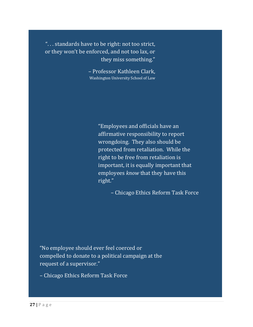". . . standards have to be right: not too strict, or they won't be enforced, and not too lax, or they miss something."

> – Professor Kathleen Clark, Washington University School of Law

> > "Employees and officials have an affirmative responsibility to report wrongdoing. They also should be protected from retaliation. While the right to be free from retaliation is important, it is equally important that employees *know* that they have this right."

> > > – Chicago Ethics Reform Task Force

"No employee should ever feel coerced or compelled to donate to a political campaign at the request of a supervisor."

– Chicago Ethics Reform Task Force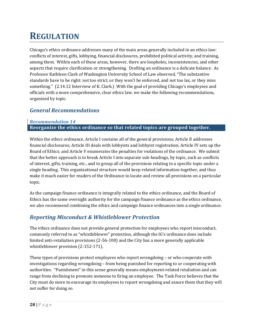## **REGULATION**

Chicago's ethics ordinance addresses many of the main areas generally included in an ethics law: conflicts of interest, gifts, lobbying, financial disclosures, prohibited political activity, and training, among them. Within each of these areas, however, there are loopholes, inconsistencies, and other aspects that require clarification or strengthening. Drafting an ordinance is a delicate balance. As Professor Kathleen Clark of Washington University School of Law observed, "The substantive standards have to be right: not too strict, or they won't be enforced, and not too lax, or they miss something." (2.14.12 Interview of K. Clark.) With the goal of providing Chicago's employees and officials with a more comprehensive, clear ethics law, we make the following recommendations, organized by topic.

#### *General Recommendations*

#### *Recommendation 14* **Reorganize the ethics ordinance so that related topics are grouped together.**

Within the ethics ordinance, Article I contains all of the general provisions; Article II addresses financial disclosures; Article III deals with lobbyists and lobbyist registration; Article IV sets up the Board of Ethics; and Article V enumerates the penalties for violations of the ordinance. We submit that the better approach is to break Article I into separate sub‐headings, by topic, such as conflicts of interest, gifts, training, etc., and to group all of the provisions relating to a specific topic under a single heading. This organizational structure would keep related information together, and thus make it much easier for readers of the Ordinance to locate and review all provisions on a particular topic.

As the campaign finance ordinance is integrally related to the ethics ordinance, and the Board of Ethics has the same oversight authority for the campaign finance ordinance as the ethics ordinance, we also recommend combining the ethics and campaign finance ordinances into a single ordinance.

#### *Reporting Misconduct & Whistleblower Protection*

The ethics ordinance does not provide general protection for employees who report misconduct, commonly referred to as "whistleblower" protection, although the IG's ordinance does include limited anti-retaliation provisions (2-56-100) and the City has a more generally applicable whistleblower provision (2‐152‐171).

These types of provisions protect employees who report wrongdoing – or who cooperate with investigations regarding wrongdoing – from being punished for reporting to or cooperating with authorities. "Punishment" in this sense generally means employment‐related retaliation and can range from declining to promote someone to firing an employee. The Task Force believes that the City must do more to encourage its employees to report wrongdoing and assure them that they will not suffer for doing so.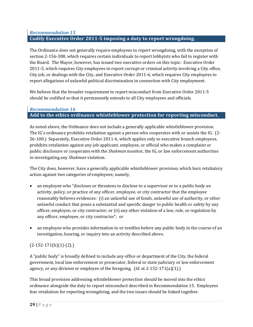#### *Recommendation 15* **Codify Executive Order 20115 imposing a duty to report wrongdoing.**

The Ordinance does not generally require employees to report wrongdoing, with the exception of section 2-156-308, which requires certain individuals to report lobbyists who fail to register with the Board. The Mayor, however, has issued two executive orders on this topic: Executive Order 2011‐5, which requires City employees to report corrupt or criminal activity involving a City office, City job, or dealings with the City, and Executive Order 2011‐6, which requires City employees to report allegations of unlawful political discrimination in connection with City employment.

We believe that the broader requirement to report misconduct from Executive Order 2011‐5 should be codified so that it permanently extends to all City employees and officials.

#### *Recommendation 16* **Add to the ethics ordinance whistleblower protection for reporting misconduct.**

As noted above, the Ordinance does not include a generally applicable whistleblower provision. The IG's ordinance prohibits retaliation against a person who cooperates with or assists the IG. (2‐ 56‐100.) Separately, Executive Order 2011‐6, which applies only to executive branch employees, prohibits retaliation against any job applicant, employee, or official who makes a complaint or public disclosure or cooperates with the *Shakman* monitor, the IG, or law enforcement authorities in investigating any *Shakman* violation.

The City does, however, have a generally applicable whistleblower provision, which bars retaliatory action against two categories of employees; namely,

- an employee who "discloses or threatens to disclose to a supervisor or to a public body an activity, policy, or practice of any officer, employee, or city contractor that the employee reasonably believes evidences: (i) an unlawful use of funds, unlawful use of authority, or other unlawful conduct that poses a substantial and specific danger to public health or safety by any officer, employee, or city contractor; or (ii) any other violation of a law, rule, or regulation by any officer, employee, or city contractor"; or
- an employee who provides information to or testifies before any public body in the course of an investigation, hearing, or inquiry into an activity described above.

#### $(2-152-171(b)(1)-(2))$

A "public body" is broadly defined to include any office or department of the City, the federal government, local law enforcement or prosecutor, federal or state judiciary or law enforcement agency, or any division or employee of the foregoing. (*Id.* at 2‐152‐171(a)(1).)

This broad provision addressing whistleblower protection should be moved into the ethics ordinance alongside the duty to report misconduct described in Recommendation 15. Employees fear retaliation for reporting wrongdoing, and the two issues should be linked together.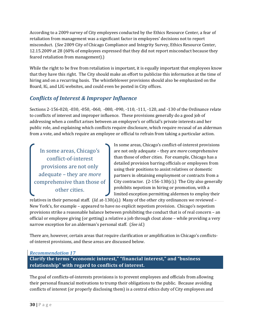According to a 2009 survey of City employees conducted by the Ethics Resource Center, a fear of retaliation from management was a significant factor in employees' decisions not to report misconduct. (*See* 2009 City of Chicago Compliance and Integrity Survey, Ethics Resource Center, 12.15.2009 at 28 (60% of employees expressed that they did not report misconduct because they feared retaliation from management).)

While the right to be free from retaliation is important, it is equally important that employees know that they have this right. The City should make an effort to publicize this information at the time of hiring and on a recurring basis. The whistleblower provisions should also be emphasized on the Board, IG, and LIG websites, and could even be posted in City offices.

### *Conflicts of Interest & Improper Influence*

Sections 2‐156‐020, ‐030, ‐050, ‐060, ‐080, ‐090, ‐110, ‐111, ‐120, and ‐130 of the Ordinance relate to conflicts of interest and improper influence. These provisions generally do a good job of addressing when a conflict arises between an employee's or official's private interests and her public role, and explaining which conflicts require disclosure, which require recusal of an alderman from a vote, and which require an employee or official to refrain from taking a particular action.

In some areas, Chicago's conflict‐of‐interest provisions are not only adequate – they are *more* comprehensive than those of other cities.

In some areas, Chicago's conflict‐of‐interest provisions are not only adequate – they are *more* comprehensive than those of other cities. For example, Chicago has a detailed provision barring officials or employees from using their positions to assist relatives or domestic partners in obtaining employment or contracts from a City contractor.  $(2-156-130(c))$  The City also generally prohibits nepotism in hiring or promotion, with a limited exception permitting aldermen to employ their

relatives in their personal staff. (*Id.* at‐130(a).) Many of the other city ordinances we reviewed – New York's, for example – appeared to have no explicit nepotism provision. Chicago's nepotism provisions strike a reasonable balance between prohibiting the conduct that is of real concern – an official or employee giving (or getting) a relative a job through clout alone – while providing a very narrow exception for an alderman's personal staff. (*See id.*)

There are, however, certain areas that require clarification or amplification in Chicago's conflicts‐ of‐interest provisions, and these areas are discussed below.

#### *Recommendation 17*

**Clarify the terms "economic interest," "financial interest," and "business relationship" with regard to conflicts of interest.**

The goal of conflicts-of-interests provisions is to prevent employees and officials from allowing their personal financial motivations to trump their obligations to the public. Because avoiding conflicts of interest (or properly disclosing them) is a central ethics duty of City employees and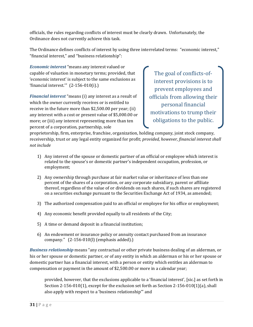officials, the rules regarding conflicts of interest must be clearly drawn. Unfortunately, the Ordinance does not currently achieve this task.

The Ordinance defines conflicts of interest by using three interrelated terms: "economic interest," "financial interest," and "business relationship":

*Economic interest* "means any interest valued or capable of valuation in monetary terms; provided, that 'economic interest' is subject to the same exclusions as 'financial interest.'" (2‐156‐010(i).)

*Financial interest* "means (i) any interest as a result of which the owner currently receives or is entitled to receive in the future more than \$2,500.00 per year; (ii) any interest with a cost or present value of \$5,000.00 or more; or (iii) any interest representing more than ten percent of a corporation, partnership, sole

The goal of conflicts-ofinterest provisions is to prevent employees and officials from allowing their personal financial motivations to trump their obligations to the public.

proprietorship, firm, enterprise, franchise, organization, holding company, joint stock company, receivership, trust or any legal entity organized for profit; *provided, however, financial interest shall not include*

- 1) Any interest of the spouse or domestic partner of an official or employee which interest is related to the spouse's or domestic partner's independent occupation, profession, or employment;
- 2) Any ownership through purchase at fair market value or inheritance of less than one percent of the shares of a corporation, or any corporate subsidiary, parent or affiliate thereof, regardless of the value of or dividends on such shares, if such shares are registered on a securities exchange pursuant to the Securities Exchange Act of 1934, as amended;
- 3) The authorized compensation paid to an official or employee for his office or employment;
- 4) Any economic benefit provided equally to all residents of the City;
- 5) A time or demand deposit in a financial institution;
- 6) An endowment or insurance policy or annuity contact purchased from an insurance company." (2‐156‐010(l) (emphasis added).)

*Business relationship* means "any contractual or other private business dealing of an alderman, or his or her spouse or domestic partner, or of any entity in which an alderman or his or her spouse or domestic partner has a financial interest, with a person or entity which entitles an alderman to compensation or payment in the amount of \$2,500.00 or more in a calendar year;

provided, however, that the exclusions applicable to a 'financial interest', [sic.] as set forth in Section 2-156-010(1), except for the exclusion set forth as Section 2-156-010(1)(a), shall also apply with respect to a 'business relationship'" and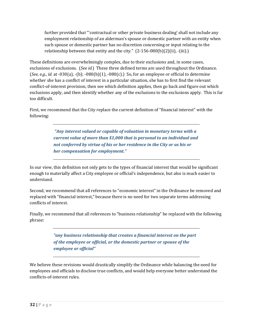further provided that "'contractual or other private business dealing' shall not include any employment relationship of an alderman's spouse or domestic partner with an entity when such spouse or domestic partner has no discretion concerning or input relating to the relationship between that entity and the city."  $(2-156-080(b)(2)(ii)$ ,  $(iii)$ .

These definitions are overwhelmingly complex, due to their exclusions and, in some cases, exclusions of exclusions. (*See id.*) These three defined terms are used throughout the Ordinance. (*See, e.g*., *id.* at ‐030(a), ‐(b); ‐080(b)(1), ‐080(c).) So, for an employee or official to determine whether she has a conflict of interest in a particular situation, she has to first find the relevant conflict-of-interest provision, then see which definition applies, then go back and figure out which exclusions apply, and then identify whether any of the exclusions to the exclusions apply. This is far too difficult.

First, we recommend that the City replace the current definition of "financial interest" with the following:

> *"Any interest valued or capable of valuation in monetary terms with a current value of more than \$1,000 that is personal to an individual and not conferred by virtue of his or her residence in the City or as his or her compensation for employment."*

In our view, this definition not only gets to the types of financial interest that would be significant enough to materially affect a City employee or official's independence, but also is much easier to understand.

Second, we recommend that all references to "economic interest" in the Ordinance be removed and replaced with "financial interest," because there is no need for two separate terms addressing conflicts of interest.

Finally, we recommend that all references to "business relationship" be replaced with the following phrase:

> *"any business relationship that creates a financial interest on the part of the employee or official, or the domestic partner or spouse of the employee or official"*

We believe these revisions would drastically simplify the Ordinance while balancing the need for employees and officials to disclose true conflicts, and would help everyone better understand the conflicts‐of‐interest rules.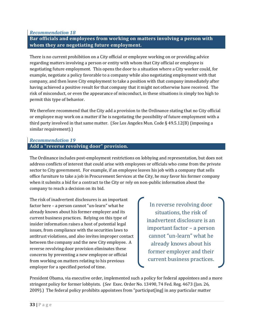*Recommendation 18*

**Bar officials and employees from working on matters involving a person with whom they are negotiating future employment.**

There is no current prohibition on a City official or employee working on or providing advice regarding matters involving a person or entity with whom that City official or employee is negotiating future employment. This opens the door to a situation where a City worker could, for example, negotiate a policy favorable to a company while also negotiating employment with that company, and then leave City employment to take a position with that company immediately after having achieved a positive result for that company that it might not otherwise have received. The risk of misconduct, or even the appearance of misconduct, in these situations is simply too high to permit this type of behavior.

We therefore recommend that the City add a provision to the Ordinance stating that no City official or employee may work on a matter if he is negotiating the possibility of future employment with a third party involved in that same matter. (*See* Los Angeles Mun. Code § 49.5.12(B) (imposing a similar requirement).)

# *Recommendation 19* **Add a "reverse revolving door" provision.**

The Ordinance includes post-employment restrictions on lobbying and representation, but does not address conflicts of interest that could arise with employees or officials who come from the private sector to City government. For example, if an employee leaves his job with a company that sells office furniture to take a job in Procurement Services at the City, he may favor his former company when it submits a bid for a contract to the City or rely on non-public information about the company to reach a decision on its bid.

The risk of inadvertent disclosures is an important factor here – a person cannot "un‐learn" what he already knows about his former employer and its current business practices. Relying on this type of insider information raises a host of potential legal issues, from compliance with the securities laws to antitrust violations, and also invites improper contact between the company and the new City employee. A reverse revolving door provision eliminates these concerns by preventing a new employee or official from working on matters relating to his previous employer for a specified period of time.

In reverse revolving door situations, the risk of inadvertent disclosure is an important factor – a person cannot "un‐learn" what he already knows about his former employer and their current business practices.

President Obama, via executive order, implemented such a policy for federal appointees and a more stringent policy for former lobbyists. (*See* Exec. Order No. 13490, 74 Fed. Reg. 4673 (Jan. 26, 2009).) The federal policy prohibits appointees from "participat[ing] in any particular matter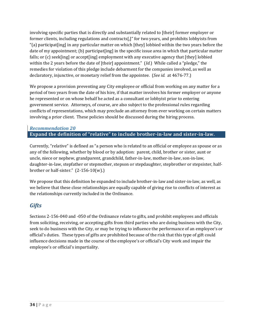involving specific parties that is directly and substantially related to [their] former employer or former clients, including regulations and contracts[,]" for two years, and prohibits lobbyists from "(a) participat[ing] in any particular matter on which [they] lobbied within the two years before the date of my appointment; (b) participat [ing] in the specific issue area in which that particular matter falls; or (c) seek[ing] or accept[ing] employment with any executive agency that [they] lobbied within the 2 years before the date of [their] appointment." (*Id.*) While called a "pledge," the remedies for violation of this pledge include debarment for the companies involved, as well as declaratory, injunctive, or monetary relief from the appointee. (*See id.* at 4676‐77.)

We propose a provision preventing any City employee or official from working on any matter for a period of two years from the date of his hire, if that matter involves his former employer or anyone he represented or on whose behalf he acted as a consultant or lobbyist prior to entering government service. Attorneys, of course, are also subject to the professional rules regarding conflicts of representations, which may preclude an attorney from ever working on certain matters involving a prior client. These policies should be discussed during the hiring process.

# *Recommendation 20* **Expand the definition of "relative" to include brotherinlaw and sisterinlaw.**

Currently, "relative" is defined as "a person who is related to an official or employee as spouse or as any of the following, whether by blood or by adoption: parent, child, brother or sister, aunt or uncle, niece or nephew, grandparent, grandchild, father-in-law, mother-in-law, son-in-law, daughter-in-law, stepfather or stepmother, stepson or stepdaughter, stepbrother or stepsister, halfbrother or half-sister." (2-156-10(w).)

We propose that this definition be expanded to include brother-in-law and sister-in-law, as well, as we believe that these close relationships are equally capable of giving rise to conflicts of interest as the relationships currently included in the Ordinance.

# *Gifts*

Sections 2‐156‐040 and ‐050 of the Ordinance relate to gifts, and prohibit employees and officials from soliciting, receiving, or accepting gifts from third parties who are doing business with the City, seek to do business with the City, or may be trying to influence the performance of an employee's or official's duties. These types of gifts are prohibited because of the risk that this type of gift could influence decisions made in the course of the employee's or official's City work and impair the employee's or official's impartiality.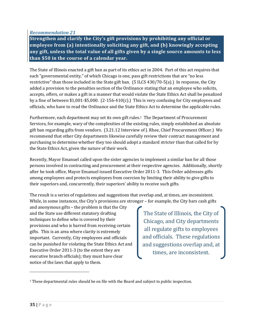*Recommendation 21*

**Strengthen and clarify the City's gift provisions by prohibiting any official or employee from (a) intentionally soliciting any gift, and (b) knowingly accepting any gift, unless the total value of all gifts given by a single source amounts to less than \$50 in the course of a calendar year.**

The State of Illinois enacted a gift ban as part of its ethics act in 2004. Part of this act requires that each "governmental entity," of which Chicago is one, pass gift restrictions that are "no less restrictive" than those included in the State gift ban. (5 ILCS 430/70‐5(a).) In response, the City added a provision to the penalties section of the Ordinance stating that an employee who solicits, accepts, offers, or makes a gift in a manner that would violate the State Ethics Act shall be penalized by a fine of between  $$1,001$ - $$5,000$ . (2-156-410(c).) This is very confusing for City employees and officials, who have to read the Ordinance and the State Ethics Act to determine the applicable rules.

Furthermore, each department may set its own gift rules.<sup>1</sup> The Department of Procurement Services, for example, wary of the complexities of the existing rules, simply established an absolute gift ban regarding gifts from vendors. (3.21.12 Interview of J. Rhee, Chief Procurement Officer.) We recommend that other City departments likewise carefully review their contract management and purchasing to determine whether they too should adopt a standard stricter than that called for by the State Ethics Act, given the nature of their work.

Recently, Mayor Emanuel called upon the sister agencies to implement a similar ban for all those persons involved in contracting and procurement at their respective agencies. Additionally, shortly after he took office, Mayor Emanuel issued Executive Order 2011‐3. This Order addresses gifts among employees and protects employees from coercion by limiting their ability to give gifts to their superiors and, concurrently, their superiors' ability to receive such gifts.

The result is a series of regulations and suggestions that overlap and, at times, are inconsistent. While, in some instances, the City's provisions are stronger – for example, the City bars cash gifts

and anonymous gifts – the problem is that the City and the State use different statutory drafting techniques to define who is covered by their provisions and who is barred from receiving certain gifts. This is an area where clarity is extremely important. Currently, City employees and officials can be punished for violating the State Ethics Act and Executive Order 2011‐3 (to the extent they are executive branch officials); they must have clear notice of the laws that apply to them.

The State of Illinois, the City of Chicago, and City departments all regulate gifts to employees and officials. These regulations and suggestions overlap and, at times, are inconsistent.

<sup>&</sup>lt;sup>1</sup> These departmental rules should be on file with the Board and subject to public inspection.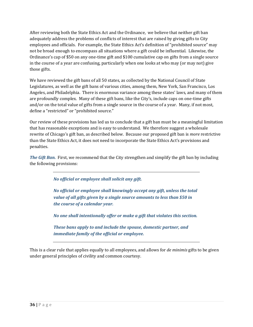After reviewing both the State Ethics Act and the Ordinance, we believe that neither gift ban adequately address the problems of conflicts of interest that are raised by giving gifts to City employees and officials. For example, the State Ethics Act's definition of "prohibited source" may not be broad enough to encompass all situations where a gift could be influential. Likewise, the Ordinance's cap of \$50 on any one‐time gift and \$100 cumulative cap on gifts from a single source in the course of a year are confusing, particularly when one looks at who may (or may not) give those gifts.

We have reviewed the gift bans of all 50 states, as collected by the National Council of State Legislatures, as well as the gift bans of various cities, among them, New York, San Francisco, Los Angeles, and Philadelphia. There is enormous variance among these states' laws, and many of them are profoundly complex. Many of these gift bans, like the City's, include caps on one-time gifts and/or on the total value of gifts from a single source in the course of a year. Many, if not most, define a "restricted" or "prohibited source."

Our review of these provisions has led us to conclude that a gift ban must be a meaningful limitation that has reasonable exceptions and is easy to understand. We therefore suggest a wholesale rewrite of Chicago's gift ban, as described below. Because our proposed gift ban is *more* restrictive than the State Ethics Act, it does not need to incorporate the State Ethics Act's provisions and penalties.

*The Gift Ban.* First, we recommend that the City strengthen and simplify the gift ban by including the following provisions:

*No official or employee shall solicit any gift.* 

*No official or employee shall knowingly accept any gift, unless the total value of all gifts given by a single source amounts to less than \$50 in the course of a calendar year.*

*No one shall intentionally offer or make a gift that violates this section.*

*These bans apply to and include the spouse, domestic partner, and immediate family of the official or employee.* 

This is a clear rule that applies equally to all employees, and allows for *de minimis* gifts to be given under general principles of civility and common courtesy.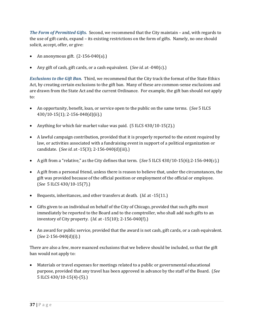*The Form of Permitted Gifts.* Second, we recommend that the City maintain – and, with regards to the use of gift cards, expand – its existing restrictions on the form of gifts. Namely, no one should solicit, accept, offer, or give:

- An anonymous gift. (2‐156‐040(a).)
- Any gift of cash, gift cards, or a cash equivalent. (*See id.* at ‐040(c).)

*Exclusions to the Gift Ban.* Third, we recommend that the City track the format of the State Ethics Act, by creating certain exclusions to the gift ban. Many of these are common-sense exclusions and are drawn from the State Act and the current Ordinance. For example, the gift ban should *not* apply to:

- An opportunity, benefit, loan, or service open to the public on the same terms. (*See* 5 ILCS 430/10‐15(1); 2‐156‐040(d)(ii).)
- Anything for which fair market value was paid. (5 ILCS 430/10-15(2).)
- A lawful campaign contribution, provided that it is properly reported to the extent required by law, or activities associated with a fundraising event in support of a political organization or candidate. (*See id.* at ‐15(3); 2‐156‐040(d)(iii).)
- A gift from a "relative," as the City defines that term. (*See* 5 ILCS 430/10‐15(6);2‐156‐040(c).)
- A gift from a personal friend, unless there is reason to believe that, under the circumstances, the gift was provided because of the official position or employment of the official or employee. (*See* 5 ILCS 430/10‐15(7).)
- Bequests, inheritances, and other transfers at death. (*Id.* at ‐15(11.)
- Gifts given to an individual on behalf of the City of Chicago, provided that such gifts must immediately be reported to the Board and to the comptroller, who shall add such gifts to an inventory of City property. (*Id.* at ‐15(10); 2‐156‐040(f).)
- An award for public service, provided that the award is not cash, gift cards, or a cash equivalent. (*See* 2‐156‐040(d)(i).)

There are also a few, more nuanced exclusions that we believe should be included, so that the gift ban would not apply to:

• Materials or travel expenses for meetings related to a public or governmental educational purpose, provided that any travel has been approved in advance by the staff of the Board. (*See* 5 ILCS 430/10‐15(4)‐(5).)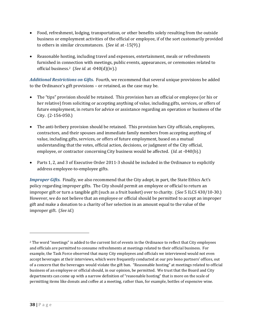- Food, refreshment, lodging, transportation, or other benefits solely resulting from the outside business or employment activities of the official or employee, if of the sort customarily provided to others in similar circumstances. (*See id.* at ‐15(9).)
- Reasonable hosting, including travel and expenses, entertainment, meals or refreshments furnished in connection with meetings, public events, appearances, or ceremonies related to official business.2 (*See id.* at ‐040(d)(iv).)

*Additional Restrictions on Gifts.* Fourth, we recommend that several unique provisions be added to the Ordinance's gift provisions – or retained, as the case may be.

- The "tips" provision should be retained. This provision bars an official or employee (or his or her relative) from soliciting or accepting anything of value, including gifts, services, or offers of future employment, in return for advice or assistance regarding an operation or business of the City. (2‐156‐050.)
- The anti-bribery provision should be retained. This provision bars City officials, employees, contractors, and their spouses and immediate family members from accepting anything of value, including gifts, services, or offers of future employment, based on a mutual understanding that the votes, official action, decisions, or judgment of the City official, employee, or contractor concerning City business would be affected. *(Id.* at -040(b).)
- Parts 1, 2, and 3 of Executive Order 2011-3 should be included in the Ordinance to explicitly address employee‐to‐employee gifts.

*Improper Gifts.* Finally, we also recommend that the City adopt, in part, the State Ethics Act's policy regarding improper gifts. The City should permit an employee or official to return an improper gift or turn a tangible gift (such as a fruit basket) over to charity. (*See* 5 ILCS 430/10‐30.) However, we do not believe that an employee or official should be permitted to accept an improper gift and make a donation to a charity of her selection in an amount equal to the value of the improper gift. (*See id.*)

<sup>&</sup>lt;sup>2</sup> The word "meetings" is added to the current list of events in the Ordinance to reflect that City employees and officials are permitted to consume refreshments at meetings related to their official business. For example, the Task Force observed that many City employees and officials we interviewed would not even accept beverages at their interviews, which were frequently conducted at our pro bono partners' offices, out of a concern that the beverages would violate the gift ban. "Reasonable hosting" at meetings related to official business of an employee or official should, in our opinion, be permitted. We trust that the Board and City departments can come up with a narrow definition of "reasonable hosting" that is more on the scale of permitting items like donuts and coffee at a meeting, rather than, for example, bottles of expensive wine.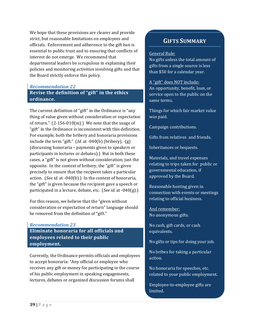We hope that these provisions are clearer and provide strict, but reasonable limitations on employees and officials. Enforcement and adherence to the gift ban is essential to public trust and to ensuring that conflicts of interest do not emerge. We recommend that departmental leaders be scrupulous in explaining their policies and monitoring activities involving gifts and that the Board strictly enforce this policy.

# *Recommendation 22* **Revise the definition of "gift" in the ethics ordinance.**

The current definition of "gift" in the Ordinance is "any thing of value given without consideration or expectation of return."  $(2-156-010(m))$  We note that the usage of "gift" in the Ordinance is inconsistent with this definition. For example, both the bribery and honoraria provisions include the term "gift." (*Id.* at ‐040(b) (bribery), ‐(g) (discussing honoraria – payments given to speakers or participants in lectures or debates).) But in both these cases, a "gift" is not given without consideration; just the opposite. In the context of bribery, the "gift" is given precisely to ensure that the recipient takes a particular action. (*See id.* at ‐040(b).) In the context of honoraria, the "gift" is given because the recipient gave a speech or participated in a lecture, debate, etc. (*See id.* at ‐040(g).)

For this reason, we believe that the "given without consideration or expectation of return" language should be removed from the definition of "gift."

## *Recommendation 23*

**Eliminate honoraria for all officials and employees related to their public employment.**

Currently, the Ordinance permits officials and employees to accept honoraria: "Any official or employee who receives any gift or money for participating in the course of his public employment in speaking engagements, lectures, debates or organized discussion forums shall

# **GIFTS SUMMARY**

#### General Rule:

No gifts unless the total amount of gifts from a single source is less than \$50 for a calendar year.

A "gift" does NOT include: An opportunity, benefit, loan, or service open to the public on the same terms.

Things for which fair market value was paid.

Campaign contributions.

Gifts from relatives and friends.

Inheritances or bequests.

Materials, and travel expenses relating to trips taken for public or governmental education, if approved by the Board.

Reasonable hosting given in connection with events or meetings relating to official business.

And remember: No anonymous gifts.

No cash, gift cards, or cash equivalents.

No gifts or tips for doing your job.

No bribes for taking a particular action.

No honoraria for speeches, etc. related to your public employment.

Employee‐to‐employee gifts are limited.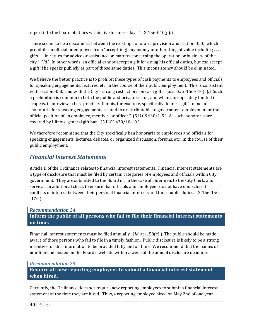report it to the board of ethics within five business days."  $(2-156-040(g))$ 

There seems to be a disconnect between the existing honoraria provision and section ‐050, which prohibits an official or employee from "accept[ing] any money or other thing of value including . . . gifts . . . in return for advice or assistance on matters concerning the operation or business of the city." (*Id.*) In other words, an official cannot accept a gift for doing his official duties, but *can* accept a gift if he speaks publicly as part of those same duties. This inconsistency should be eliminated.

We believe the better practice is to prohibit these types of cash payments to employees and officials for speaking engagements, lectures, etc. in the course of their public employment. This is consistent with section ‐050, and with the City's strong restrictions on cash gifts. (*See id.*; 2‐156‐040(c).) Such a prohibition is common in both the public and private sector, and when appropriately limited in scope is, in our view, a best practice. Illinois, for example, specifically defines "gift" to include "honoraria for speaking engagements related to or attributable to government employment or the official position of an employee, member, or officer." (5 ILCS 430/1‐5.) As such, honoraria are covered by Illinois' general gift ban. (5 ILCS 430/10‐10.)

We therefore recommend that the City specifically ban honoraria to employees and officials for speaking engagements, lectures, debates, or organized discussion, forums, etc., in the course of their public employment.

# *Financial Interest Statements*

Article II of the Ordinance relates to financial interest statements. Financial interest statements are a type of disclosure that must be filed by certain categories of employees and officials within City government. They are submitted to the Board or, in the case of aldermen, to the City Clerk, and serve as an additional check to ensure that officials and employees do not have undisclosed conflicts of interest between their personal financial interests and their public duties. (2‐156‐150, ‐170.)

# *Recommendation 24* **Inform the public of all persons who fail to file their financial interest statements on time.**

Financial interest statements must be filed annually. (*Id.* at ‐150(c).) The public should be made aware of those persons who fail to file in a timely fashion. Public disclosure is likely to be a strong incentive for this information to be provided fully and on time. We recommend that the names of non‐filers be posted on the Board's website within a week of the annual disclosure deadline.

# *Recommendation 25*

**Require all new reporting employees to submit a financial interest statement when hired.**

Currently, the Ordinance does not require new reporting employees to submit a financial interest statement at the time they are hired. Thus, a reporting employee hired on May 2nd of one year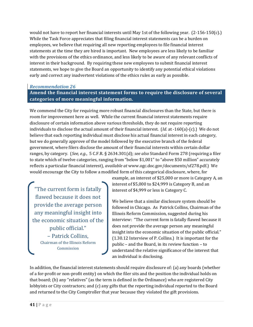would not have to report her financial interests until May 1st of the following year.  $(2-156-150(c))$ While the Task Force appreciates that filing financial interest statements can be a burden on employees, we believe that requiring all new reporting employees to file financial interest statements at the time they are hired is important. New employees are less likely to be familiar with the provisions of the ethics ordinance, and less likely to be aware of any relevant conflicts of interest in their background. By requiring these new employees to submit financial interest statements, we hope to give the Board an opportunity to identify any potential ethical violations early and correct any inadvertent violations of the ethics rules as early as possible.

# *Recommendation 26*

**Amend the financial interest statement forms to require the disclosure of several categories of more meaningful information.**

We commend the City for requiring more robust financial disclosures than the State, but there is room for improvement here as well. While the current financial interest statements require disclosure of certain information above various thresholds, they do not require reporting individuals to disclose the actual amount of their financial interest. (*Id.* at ‐160(a)‐(c).) We do not believe that each reporting individual must disclose his actual financial interest in each category, but we do generally approve of the model followed by the executive branch of the federal government, where filers disclose the amount of their financial interests within certain dollar ranges, by category. (*See, e.g.*, 5 C.F.R. § 2634.301(d); *see also* Standard Form 278 (requiring a filer to state which of twelve categories, ranging from "below \$1,001" to "above \$50 million" accurately reflects a particular financial interest), *available at* www.ogc.doc.gov/documents/sf278.pdf.) We would encourage the City to follow a modified form of this categorical disclosure, where, for

"The current form is fatally flawed because it does not provide the average person any meaningful insight into the economic situation of the public official." – Patrick Collins, Chairman of the Illinois Reform Commission

example, an interest of \$25,000 or more is Category A, an interest of \$5,000 to \$24,999 is Category B, and an interest of \$4,999 or less is Category C.

We believe that a similar disclosure system should be followed in Chicago. As Patrick Collins, Chairman of the Illinois Reform Commission, suggested during his interview: "The current form is fatally flawed because it does not provide the average person any meaningful insight into the economic situation of the public official." (1.30.12 Interview of P. Collins.) It is important for the public – and the Board, in its review function – to understand the relative significance of the interest that an individual is disclosing.

In addition, the financial interest statements should require disclosure of: (a) any boards (whether of a for‐profit or non‐profit entity) on which the filer sits and the position the individual holds on that board; (b) any "relatives" (as the term is defined in the Ordinance) who are registered City lobbyists or City contractors; and (c) any gifts that the reporting individual reported to the Board and returned to the City Comptroller that year because they violated the gift provisions.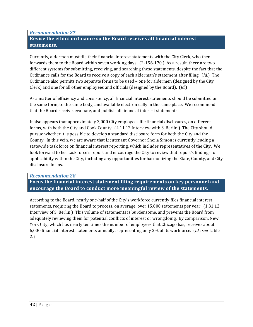# *Recommendation 27* **Revise the ethics ordinance so the Board receives all financial interest statements.**

Currently, aldermen must file their financial interest statements with the City Clerk, who then forwards them to the Board within seven working days.  $(2-156-170)$  As a result, there are two different systems for submitting, receiving, and searching these statements, despite the fact that the Ordinance calls for the Board to receive a copy of each alderman's statement after filing. (*Id.*) The Ordinance also permits two separate forms to be used – one for aldermen (designed by the City Clerk) and one for all other employees and officials (designed by the Board). (*Id.*)

As a matter of efficiency and consistency, all financial interest statements should be submitted on the same form, to the same body, and available electronically in the same place. We recommend that the Board receive, evaluate, and publish all financial interest statements.

It also appears that approximately 3,000 City employees file financial disclosures, on different forms, with both the City and Cook County. (4.11.12 Interview with S. Berlin.) The City should pursue whether it is possible to develop a standard disclosure form for both the City and the County. In this vein, we are aware that Lieutenant Governor Sheila Simon is currently leading a statewide task force on financial interest reporting, which includes representatives of the City. We look forward to her task force's report and encourage the City to review that report's findings for applicability within the City, including any opportunities for harmonizing the State, County, and City disclosure forms.

# *Recommendation 28*

**Focus the financial interest statement filing requirements on key personnel and encourage the Board to conduct more meaningful review of the statements.**

According to the Board, nearly one‐half of the City's workforce currently files financial interest statements, requiring the Board to process, on average, over 15,000 statements per year. (1.31.12 Interview of S. Berlin.) This volume of statements is burdensome, and prevents the Board from adequately reviewing them for potential conflicts of interest or wrongdoing. By comparison, New York City, which has nearly ten times the number of employees that Chicago has, receives about 6,000 financial interest statements annually, representing only 2% of its workforce. (*Id.*; *see* Table 2.)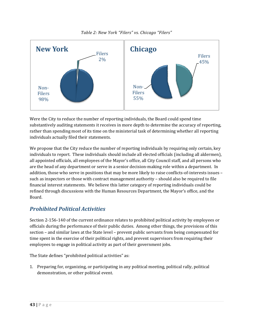*Table 2: New York "Filers" vs. Chicago "Filers"*



Were the City to reduce the number of reporting individuals, the Board could spend time substantively auditing statements it receives in more depth to determine the accuracy of reporting, rather than spending most of its time on the ministerial task of determining whether all reporting individuals actually filed their statements.

We propose that the City reduce the number of reporting individuals by requiring only certain, key individuals to report. These individuals should include all elected officials (including all aldermen), all appointed officials, all employees of the Mayor's office, all City Council staff, and all persons who are the head of any department or serve in a senior decision-making role within a department. In addition, those who serve in positions that may be more likely to raise conflicts-of-interests issues – such as inspectors or those with contract management authority – should also be required to file financial interest statements. We believe this latter category of reporting individuals could be refined through discussions with the Human Resources Department, the Mayor's office, and the Board.

# *Prohibited Political Activities*

Section 2‐156‐140 of the current ordinance relates to prohibited political activity by employees or officials during the performance of their public duties. Among other things, the provisions of this section – and similar laws at the State level – prevent public servants from being compensated for time spent in the exercise of their political rights, and prevent supervisors from requiring their employees to engage in political activity as part of their government jobs.

The State defines "prohibited political activities" as:

1. Preparing for, organizing, or participating in any political meeting, political rally, political demonstration, or other political event.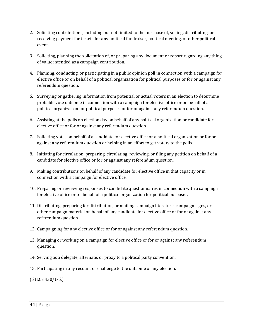- 2. Soliciting contributions, including but not limited to the purchase of, selling, distributing, or receiving payment for tickets for any political fundraiser, political meeting, or other political event.
- 3. Soliciting, planning the solicitation of, or preparing any document or report regarding any thing of value intended as a campaign contribution.
- 4. Planning, conducting, or participating in a public opinion poll in connection with a campaign for elective office or on behalf of a political organization for political purposes or for or against any referendum question.
- 5. Surveying or gathering information from potential or actual voters in an election to determine probable vote outcome in connection with a campaign for elective office or on behalf of a political organization for political purposes or for or against any referendum question.
- 6. Assisting at the polls on election day on behalf of any political organization or candidate for elective office or for or against any referendum question.
- 7. Soliciting votes on behalf of a candidate for elective office or a political organization or for or against any referendum question or helping in an effort to get voters to the polls.
- 8. Initiating for circulation, preparing, circulating, reviewing, or filing any petition on behalf of a candidate for elective office or for or against any referendum question.
- 9. Making contributions on behalf of any candidate for elective office in that capacity or in connection with a campaign for elective office.
- 10. Preparing or reviewing responses to candidate questionnaires in connection with a campaign for elective office or on behalf of a political organization for political purposes.
- 11. Distributing, preparing for distribution, or mailing campaign literature, campaign signs, or other campaign material on behalf of any candidate for elective office or for or against any referendum question.
- 12. Campaigning for any elective office or for or against any referendum question.
- 13. Managing or working on a campaign for elective office or for or against any referendum question.
- 14. Serving as a delegate, alternate, or proxy to a political party convention.
- 15. Participating in any recount or challenge to the outcome of any election.

(5 ILCS 430/1‐5.)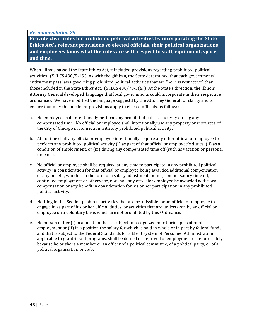## *Recommendation 29*

**Provide clear rules for prohibited political activities by incorporating the State Ethics Act's relevant provisions so elected officials, their political organizations, and employees know what the rules are with respect to staff, equipment, space, and time.**

When Illinois passed the State Ethics Act, it included provisions regarding prohibited political activities. (5 ILCS 430/5‐15.) As with the gift ban, the State determined that each governmental entity must pass laws governing prohibited political activities that are "no less restrictive" than those included in the State Ethics Act. (5 ILCS 430/70‐5(a.)) At the State's direction, the Illinois Attorney General developed language that local governments could incorporate in their respective ordinances. We have modified the language suggestd by the Attorney General for clarity and to ensure that only the pertinent provisions apply to elected officials, as follows:

- a. No employee shall intentionally perform any prohibited political activity during any compensated time. No official or employee shall intentionally use any property or resources of the City of Chicago in connection with any prohibited political activity.
- b. At no time shall any officialor employee intentionally require any other official or employee to perform any prohibited political activity (i) as part of that official or employee's duties, (ii) as a condition of employment, or (iii) during any compensated time off (such as vacation or personal time off).
- c. No official or employee shall be required at any time to participate in any prohibited political activity in consideration for that official or employee being awarded additional compensation or any benefit, whether in the form of a salary adjustment, bonus, compensatory time off, continued employment or otherwise, nor shall any officialor employee be awarded additional compensation or any benefit in consideration for his or her participation in any prohibited political activity.
- d. Nothing in this Section prohibits activities that are permissible for an official or employee to engage in as part of his or her official duties, or activities that are undertaken by an official or employee on a voluntary basis which are not prohibited by this Ordinance.
- e. No person either (i) in a position that is subject to recognized merit principles of public employment or (ii) in a position the salary for which is paid in whole or in part by federal funds and that is subject to the Federal Standards for a Merit System of Personnel Administration applicable to grant‐in‐aid programs, shall be denied or deprived of employment or tenure solely because he or she is a member or an officer of a political committee, of a political party, or of a political organization or club.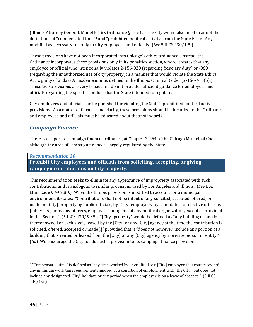(Illinois Attorney General, Model Ethics Ordinance  $\S$  5-5-1.) The City would also need to adopt the definitions of "compensated time"3 and "prohibited political activity" from the State Ethics Act, modified as necessary to apply to City employees and officials. (*See* 5 ILCS 430/1‐5.)

These provisions have not been incorporated into Chicago's ethics ordinance. Instead, the Ordinance incorporates these provisions only in its penalties section, where it states that any employee or official who intentionally violates 2‐156‐020 (regarding fiduciary duty) or ‐060 (regarding the unauthorized use of city property) in a manner that would violate the State Ethics Act is guilty of a Class A misdemeanor as defined in the Illinois Criminal Code.  $(2-156-410(b))$ . These two provisions are very broad, and do not provide sufficient guidance for employees and officials regarding the specific conduct that the State intended to regulate.

City employees and officials can be punished for violating the State's prohibited political activities provisions. As a matter of fairness and clarity, these provisions should be included in the Ordinance and employees and officials must be educated about these standards.

# *Campaign Finance*

There is a separate campaign finance ordinance, at Chapter 2‐164 of the Chicago Municipal Code, although the area of campaign finance is largely regulated by the State.

# *Recommendation 30*

**Prohibit City employees and officials from soliciting, accepting, or giving campaign contributions on City property.**

This recommendation seeks to eliminate any appearance of impropriety associated with such contributions, and is analogous to similar provisions used by Los Angeles and Illinois. (*See* L.A. Mun. Code  $\S$  49.7.8D.) When the Illinois provision is modified to account for a municipal environment, it states: "Contributions shall not be intentionally solicited, accepted, offered, or made on [City] property by public officials, by [City] employees, by candidates for elective office, by [lobbyists], or by any officers, employees, or agents of any political organization, except as provided in this Section." (5 ILCS 430/5‐35.) "[City] property" would be defined as "any building or portion thereof owned or exclusively leased by the [City] or any [City] agency at the time the contribution is solicited, offered, accepted or made[,]" provided that it "does not however, include any portion of a building that is rented or leased from the [City] or any [City] agency by a private person or entity." (*Id.*) We encourage the City to add such a provision to its campaign finance provisions.

<sup>3 &</sup>quot;Compensated time" is defined as "any time worked by or credited to a [City] employee that counts toward any minimum work time requirement imposed as a condition of employment with [the City], but does not include any designated [City] holidays or any period when the employee is on a leave of absence." (5 ILCS  $430/1 - 5.$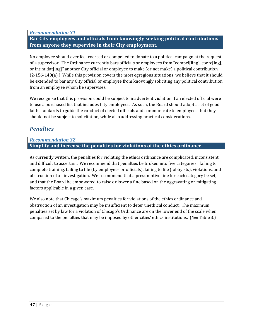*Recommendation 31*

**Bar City employees and officials from knowingly seeking political contributions from anyone they supervise in their City employment.**

No employee should ever feel coerced or compelled to donate to a political campaign at the request of a supervisor. The Ordinance currently bars officials or employees from "compel[ling], coerc[ing], or intimidat[ing]" another City official or employee to make (or not make) a political contribution.  $(2-156-140(a))$  While this provision covers the most egregious situations, we believe that it should be extended to bar any City official or employee from knowingly soliciting any political contribution from an employee whom he supervises.

We recognize that this provision could be subject to inadvertent violation if an elected official were to use a purchased list that includes City employees. As such, the Board should adopt a set of good faith standards to guide the conduct of elected officials and communicate to employees that they should not be subject to solicitation, while also addressing practical considerations.

# *Penalties*

# *Recommendation 32* **Simplify and increase the penalties for violations of the ethics ordinance.**

As currently written, the penalties for violating the ethics ordinance are complicated, inconsistent, and difficult to ascertain. We recommend that penalties be broken into five categories: failing to complete training, failing to file (by employees or officials), failing to file (lobbyists), violations, and obstruction of an investigation. We recommend that a presumptive fine for each category be set, and that the Board be empowered to raise or lower a fine based on the aggravating or mitigating factors applicable in a given case.

We also note that Chicago's maximum penalties for violations of the ethics ordinance and obstruction of an investigation may be insufficient to deter unethical conduct. The maximum penalties set by law for a violation of Chicago's Ordinance are on the lower end of the scale when compared to the penalties that may be imposed by other cities' ethics institutions. (*See* Table 3.)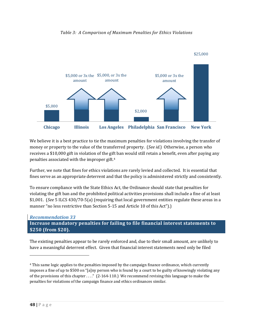



We believe it is a best practice to tie the maximum penalties for violations involving the transfer of money or property to the value of the transferred property. (*See id.*) Otherwise, a person who receives a \$10,000 gift in violation of the gift ban would still retain a benefit, even after paying any penalties associated with the improper gift.4

Further, we note that fines for ethics violations are rarely levied and collected. It is essential that fines serve as an appropriate deterrent and that the policy is administered strictly and consistently.

To ensure compliance with the State Ethics Act, the Ordinance should state that penalties for violating the gift ban and the prohibited political activities provisions shall include a fine of at least \$1,001. (*See* 5 ILCS 430/70‐5(a) (requiring that local government entities regulate these areas in a manner "no less restrictive than Section 5-15 and Article 10 of this Act").

*Recommendation 33* **Increase mandatory penalties for failing to file financial interest statements to \$250 (from \$20).**

The existing penalties appear to be rarely enforced and, due to their small amount, are unlikely to have a meaningful deterrent effect. Given that financial interest statements need only be filed

<sup>4</sup> This same logic applies to the penalties imposed by the campaign finance ordinance, which currently imposes a fine of up to \$500 on "[a]ny person who is found by a court to be guilty of knowingly violating any of the provisions of this chapter . . . ." (2‐164‐110.) We recommend revising this language to make the penalties for violations of the campaign finance and ethics ordinances similar.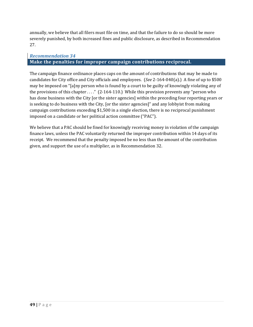annually, we believe that all filers must file on time, and that the failure to do so should be more severely punished, by both increased fines and public disclosure, as described in Recommendation 27.

# *Recommendation 34* **Make the penalties for improper campaign contributions reciprocal.**

The campaign finance ordinance places caps on the amount of contributions that may be made to candidates for City office and City officials and employees. (*See* 2‐164‐040(a).) A fine of up to \$500 may be imposed on "[a]ny person who is found by a court to be guilty of knowingly violating any of the provisions of this chapter . . . ." (2‐164‐110.) While this provision prevents any "person who has done business with the City [or the sister agencies] within the preceding four reporting years or is seeking to do business with the City, [or the sister agencies]" and any lobbyist from making campaign contributions exceeding \$1,500 in a single election, there is no reciprocal punishment imposed on a candidate or her political action committee ("PAC").

We believe that a PAC should be fined for knowingly receiving money in violation of the campaign finance laws, unless the PAC voluntarily returned the improper contribution within 14 days of its receipt. We recommend that the penalty imposed be no less than the amount of the contribution given, and support the use of a multiplier, as in Recommendation 32.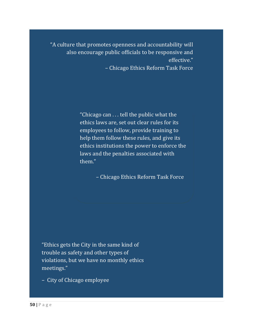"A culture that promotes openness and accountability will also encourage public officials to be responsive and effective."

– Chicago Ethics Reform Task Force

"Chicago can . . . tell the public what the ethics laws are, set out clear rules for its employees to follow, provide training to help them follow these rules, and give its ethics institutions the power to enforce the laws and the penalties associated with them."

– Chicago Ethics Reform Task Force

"Ethics gets the City in the same kind of trouble as safety and other types of violations, but we have no monthly ethics meetings."

– City of Chicago employee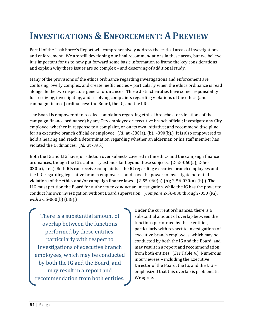# **INVESTIGATIONS & ENFORCEMENT: A PREVIEW**

Part II of the Task Force's Report will comprehensively address the critical areas of investigations and enforcement. We are still developing our final recommendations in these areas, but we believe it is important for us to now put forward some basic information to frame the key considerations and explain why these issues are so complex – and deserving of additional study.

Many of the provisions of the ethics ordinance regarding investigations and enforcement are confusing, overly complex, and create inefficiencies – particularly when the ethics ordinance is read alongside the two inspectors general ordinances. Three distinct entities have some responsibility for receiving, investigating, and resolving complaints regarding violations of the ethics (and campaign finance) ordinances: the Board, the IG, and the LIG.

The Board is empowered to receive complaints regarding ethical breaches (or violations of the campaign finance ordinance) by any City employee or executive branch official; investigate any City employee, whether in response to a complaint, or on its own initiative; and recommend discipline for an executive branch official or employee. (*Id.* at ‐380(a), (b), ‐390(b).) It is also empowered to hold a hearing and reach a determination regarding whether an alderman or his staff member has violated the Ordinances. (*Id.* at ‐395.)

Both the IG and LIG have jurisdiction over subjects covered in the ethics and the campaign finance ordinances, though the IG's authority extends far beyond these subjects. (2‐55‐060(a); 2‐56‐  $030(a)$ ,  $-(c)$ .) Both IGs can receive complaints – the IG regarding executive branch employees and the LIG regarding legislative branch employees – and have the power to investigate potential violations of the ethics and/or campaign finance laws. (2‐55‐060(a)‐(b); 2‐56‐030(a)‐(b).) The LIG must petition the Board for authority to conduct an investigation, while the IG has the power to conduct his own investigation without Board supervision. (*Compare* 2‐56‐030 through ‐050 (IG), *with* 2‐55‐060(b) (LIG).)

There is a substantial amount of overlap between the functions performed by these entities, particularly with respect to investigations of executive branch employees, which may be conducted by both the IG and the Board, and may result in a report and recommendation from both entities. Under the current ordinances, there is a substantial amount of overlap between the functions performed by these entities, particularly with respect to investigations of executive branch employees, which may be conducted by both the IG and the Board, and may result in a report and recommendation from both entities. (*See* Table 4.) Numerous interviewees – including the Executive Director of the Board, the IG, and the LIG – emphasized that this overlap is problematic. We agree.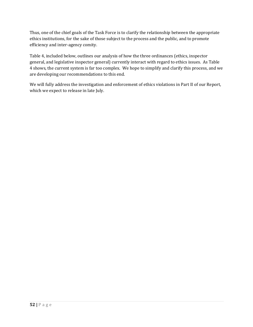Thus, one of the chief goals of the Task Force is to clarify the relationship between the appropriate ethics institutions, for the sake of those subject to the process and the public, and to promote efficiency and inter‐agency comity.

Table 4, included below, outlines our analysis of how the three ordinances (ethics, inspector general, and legislative inspector general) currently interact with regard to ethics issues. As Table 4 shows, the current system is far too complex. We hope to simplify and clarify this process, and we are developing our recommendations to this end.

We will fully address the investigation and enforcement of ethics violations in Part II of our Report, which we expect to release in late July.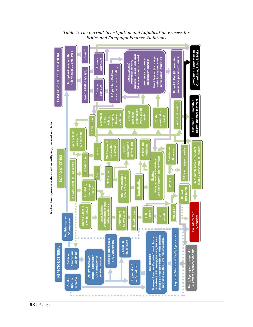

*Table 4: The Current Investigation and Adjudication Process for Ethics and Campaign Finance Violations*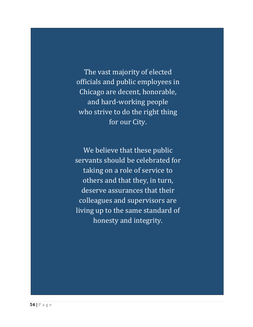The vast majority of elected officials and public employees in Chicago are decent, honorable, and hard‐working people who strive to do the right thing for our City.

We believe that these public servants should be celebrated for taking on a role of service to others and that they, in turn, deserve assurances that their colleagues and supervisors are living up to the same standard of honesty and integrity.

**The Community of the Community**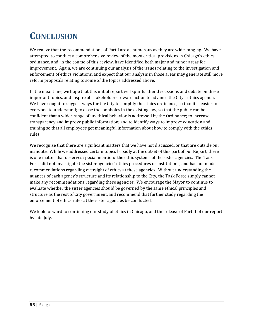# **CONCLUSION**

We realize that the recommendations of Part I are as numerous as they are wide-ranging. We have attempted to conduct a comprehensive review of the most critical provisions in Chicago's ethics ordinance, and, in the course of this review, have identified both major and minor areas for improvement. Again, we are continuing our analysis of the issues relating to the investigation and enforcement of ethics violations, and expect that our analysis in those areas may generate still more reform proposals relating to some of the topics addressed above.

In the meantime, we hope that this initial report will spur further discussions and debate on these important topics, and inspire all stakeholders toward action to advance the City's ethics agenda. We have sought to suggest ways for the City to simplify the ethics ordinance, so that it is easier for everyone to understand; to close the loopholes in the existing law, so that the public can be confident that a wider range of unethical behavior is addressed by the Ordinance; to increase transparency and improve public information; and to identify ways to improve education and training so that all employees get meaningful information about how to comply with the ethics rules.

We recognize that there are significant matters that we have not discussed, or that are outside our mandate. While we addressed certain topics broadly at the outset of this part of our Report, there is one matter that deserves special mention: the ethic systems of the sister agencies. The Task Force did not investigate the sister agencies' ethics procedures or institutions, and has not made recommendations regarding oversight of ethics at these agencies. Without understanding the nuances of each agency's structure and its relationship to the City, the Task Force simply cannot make any recommendations regarding these agencies. We encourage the Mayor to continue to evaluate whether the sister agencies should be governed by the same ethical principles and structure as the rest of City government, and recommend that further study regarding the enforcement of ethics rules at the sister agencies be conducted.

We look forward to continuing our study of ethics in Chicago, and the release of Part II of our report by late July.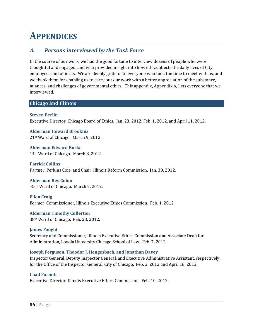# **APPENDICES**

# *A. Persons interviewed by the Task Force*

In the course of our work, we had the good fortune to interview dozens of people who were thoughtful and engaged, and who provided insight into how ethics affects the daily lives of City employees and officials. We are deeply grateful to everyone who took the time to meet with us, and we thank them for enabling us to carry out our work with a better appreciation of the substance, nuances, and challenges of governmental ethics. This appendix, Appendix A, lists everyone that we interviewed.

## **Chicago and Illinois**

## **Steven Berlin**

Executive Director, Chicago Board of Ethics. Jan. 23, 2012, Feb. 1, 2012, and April 11, 2012.

**Alderman Howard Brookins** 21st Ward of Chicago. March 9, 2012.

**Alderman Edward Burke**  14th Ward of Chicago. March 8, 2012.

**Patrick Collins**  Partner, Perkins Coie, and Chair, Illinois Reform Commission. Jan. 30, 2012.

**Alderman Rey Colon** 35th Ward of Chicago. March 7, 2012.

**Ellen Craig**  Former Commissioner, Illinois Executive Ethics Commission. Feb. 1, 2012.

**Alderman Timothy Cullerton**  38th Ward of Chicago. Feb. 23, 2012.

**James Faught** Secretary and Commissioner, Illinois Executive Ethics Commission and Associate Dean for Administration, Loyola University Chicago School of Law. Feb. 7, 2012.

## **Joseph Ferguson, Theodor J. Hengesbach, and Jonathan Davey**

Inspector General, Deputy Inspector General, and Executive Administrative Assistant, respectively, for the Office of the Inspector General, City of Chicago. Feb. 2, 2012 and April 16, 2012.

## **Chad Fornoff**

Executive Director, Illinois Executive Ethics Commission. Feb. 10, 2012.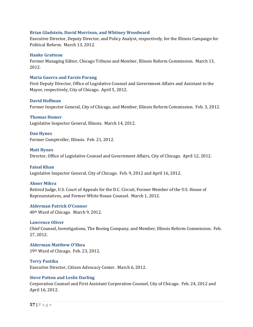#### **Brian Gladstein, David Morrison, and Whitney Woodward**

Executive Director, Deputy Director, and Policy Analyst, respectively, for the Illinois Campaign for Political Reform. March 13, 2012.

#### **Hanke Gratteau**

Former Managing Editor, Chicago Tribune and Member, Illinois Reform Commission. March 13, 2012.

#### **Maria Guerra and Farzin Parang**

First Deputy Director, Office of Legislative Counsel and Government Affairs and Assistant to the Mayor, respectively, City of Chicago. April 5, 2012.

#### **David Hoffman**

Former Inspector General, City of Chicago, and Member, Illinois Reform Commission. Feb. 3, 2012.

#### **Thomas Homer**

Legislative Inspector General, Illinois. March 14, 2012.

**Dan Hynes**  Former Comptroller, Illinois. Feb. 21, 2012.

#### **Matt Hynes**

Director, Office of Legislative Counsel and Government Affairs, City of Chicago. April 12, 2012.

#### **Faisal Khan**

Legislative Inspector General, City of Chicago. Feb. 9, 2012 and April 16, 2012.

#### **Abner Mikva**

Retired Judge, U.S. Court of Appeals for the D.C. Circuit, Former Member of the U.S. House of Representatives, and Former White House Counsel. March 1, 2012.

#### **Alderman Patrick O'Connor**

40th Ward of Chicago. March 9, 2012.

#### **Lawrence Oliver**

Chief Counsel, Investigations, The Boeing Company, and Member, Illinois Reform Commission. Feb. 27, 2012.

**Alderman Matthew O'Shea** 19th Ward of Chicago. Feb. 23, 2012.

#### **Terry Pastika**

Executive Director, Citizen Advocacy Center. March 6, 2012.

#### **Steve Patton and Leslie Darling**

Corporation Counsel and First Assistant Corporation Counsel, City of Chicago. Feb. 24, 2012 and April 16, 2012.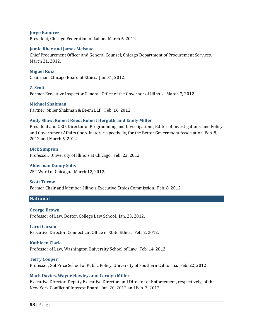#### **Jorge Ramirez**  President, Chicago Federation of Labor. March 6, 2012.

#### **Jamie Rhee and James McIsaac**

Chief Procurement Officer and General Counsel, Chicago Department of Procurement Services. March 21, 2012.

**Miguel Ruiz** Chairman, Chicago Board of Ethics. Jan. 31, 2012.

#### **Z. Scott**

Former Executive Inspector General, Office of the Governor of Illinois. March 7, 2012.

#### **Michael Shakman**

Partner, Miller Shakman & Beem LLP. Feb. 16, 2012.

#### **Andy Shaw, Robert Reed, Robert Herguth, and Emily Miller**

President and CEO, Director of Programming and Investigations, Editor of Investigations, and Policy and Government Affairs Coordinator, respectively, for the Better Government Association. Feb. 8, 2012 and March 5, 2012.

**Dick Simpson** Professor, University of Illinois at Chicago. Feb. 23, 2012.

#### **Alderman Danny Solís**

25th Ward of Chicago. March 12, 2012.

#### **Scott Turow**

Former Chair and Member, Illinois Executive Ethics Commission. Feb. 8, 2012.

#### **National**

#### **George Brown**

Professor of Law, Boston College Law School. Jan. 23, 2012.

#### **Carol Carson**

Executive Director, Connecticut Office of State Ethics. Feb. 2, 2012.

#### **Kathleen Clark**

Professor of Law, Washington University School of Law. Feb. 14, 2012.

#### **Terry Cooper**

Professor, Sol Price School of Public Policy, University of Southern California. Feb. 22, 2012

#### **Mark Davies, Wayne Hawley, and Carolyn Miller**

Executive Director, Deputy Executive Director, and Director of Enforcement, respectively, of the New York Conflict of Interest Board. Jan. 20, 2012 and Feb. 3, 2012.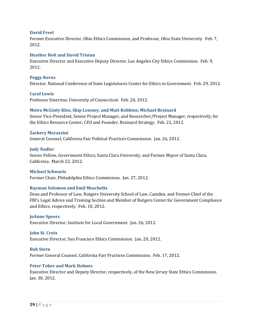#### **David Freel**

Former Executive Director, Ohio Ethics Commission, and Professor, Ohio State University. Feb. 7, 2012.

#### **Heather Holt and David Tristan**

Executive Director and Executive Deputy Director, Los Angeles City Ethics Commission. Feb. 9, 2012.

#### **Peggy Kerns**

Director, National Conference of State Legislatures Center for Ethics in Government. Feb. 29, 2012.

#### **Carol Lewis**

Professor Emeritus, University of Connecticut. Feb. 20, 2012.

## **Moira McGinty Klos, Skip Lowney, and Matt Robbins; Michael Brainard**

Senior Vice‐President, Senior Project Manager, and Researcher/Project Manager, respectively, for the Ethics Resource Center; CEO and Founder, Brainard Strategy. Feb. 22, 2012.

#### **Zackery Morazzini**

General Counsel, California Fair Political Practices Commission. Jan. 26, 2012.

#### **Judy Nadler**

Senior Fellow, Government Ethics, Santa Clara University, and Former Mayor of Santa Clara, California. March 22, 2012.

#### **Michael Schwartz**

Former Chair, Philadelphia Ethics Commission. Jan. 27, 2012.

#### **Rayman Solomon and Emil Moschella**

Dean and Professor of Law, Rutgers University School of Law, Camden, and Former Chief of the FBI's Legal Advice and Training Section and Member of Rutgers Center for Government Compliance and Ethics, respectively. Feb. 10, 2012.

#### **JoAnne Speers**

Executive Director, Institute for Local Government. Jan. 26, 2012.

#### **John St. Croix**

Executive Director, San Francisco Ethics Commission. Jan. 20, 2012.

#### **Bob Stern**

Former General Counsel, California Fair Practices Commission. Feb. 17, 2012.

#### **Peter Tober and Mark Holmes**

Executive Director and Deputy Director, respectively, of the New Jersey State Ethics Commission. Jan. 30, 2012.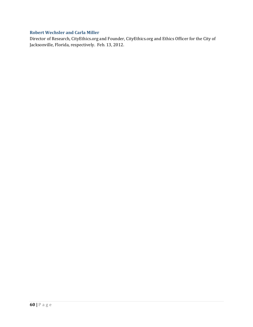# **Robert Wechsler and Carla Miller**

Director of Research, CityEthics.org and Founder, CityEthics.org and Ethics Officer for the City of Jacksonville, Florida, respectively. Feb. 13, 2012.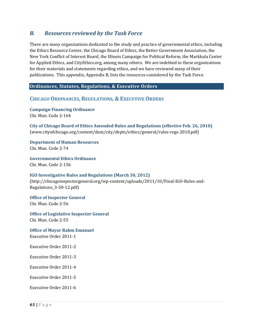# *B. Resources reviewed by the Task Force*

There are many organizations dedicated to the study and practice of governmental ethics, including the Ethics Resource Center, the Chicago Board of Ethics, the Better Government Association, the New York Conflict of Interest Board, the Illinois Campaign for Political Reform, the Markkula Center for Applied Ethics, and CityEthics.org, among many others. We are indebted to these organizations for their materials and statements regarding ethics, and we have reviewed many of their publications. This appendix, Appendix B, lists the resources considered by the Task Force.

# **Ordinances, Statutes, Regulations, & Executive Orders**

# **CHICAGO ORDINANCES, REGULATIONS, & EXECUTIVE ORDERS**

**Campaign Financing Ordinance** Chi. Mun. Code 2‐164

**City of Chicago Board of Ethics Amended Rules and Regulations (effective Feb. 26, 2010)** (www.cityofchicago.org/content/dam/city/depts/ethics/general/rules‐regs‐2010.pdf)

**Department of Human Resources** Chi. Mun. Code 2‐74

**Governmental Ethics Ordinance** Chi. Mun. Code 2‐156

# **IGO Investigative Rules and Regulations (March 30, 2012)**

(http://chicagoinspectorgeneral.org/wp‐content/uploads/2011/10/Final‐IGO‐Rules‐and‐ Regulations\_3‐30‐12.pdf)

**Office of Inspector General** Chi. Mun. Code 2‐56

**Office of Legislative Inspector General** Chi. Mun. Code 2‐55

**Office of Mayor Rahm Emanuel** Executive Order 2011‐1

Executive Order 2011‐2

Executive Order 2011‐3

Executive Order 2011‐4

Executive Order 2011‐5

Executive Order 2011‐6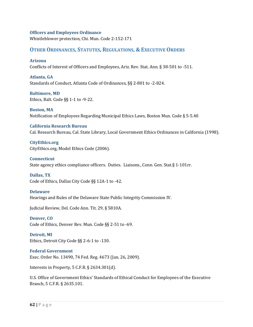#### **Officers and Employees Ordinance**

Whistleblower protection, Chi. Mun. Code 2‐152‐171

## **OTHER ORDINANCES, STATUTES, REGULATIONS, & EXECUTIVE ORDERS**

**Arizona**

Conflicts of Interest of Officers and Employees, Ariz. Rev. Stat. Ann. § 38‐501 to ‐511.

**Atlanta, GA** Standards of Conduct, Atlanta Code of Ordinances, §§ 2‐801 to ‐2‐824.

**Baltimore, MD** Ethics, Balt. Code §§ 1‐1 to ‐9‐22.

**Boston, MA**  Notification of Employees Regarding Municipal Ethics Laws, Boston Mun. Code § 5‐5.40

**California Research Bureau** Cal. Research Bureau, Cal. State Library, Local Government Ethics Ordinances in California (1998).

**CityEthics.org** CityEthics.org, Model Ethics Code (2006).

**Connecticut**  State agency ethics compliance officers. Duties. Liaisons., Conn. Gen. Stat.§ 1-101rr.

**Dallas, TX** Code of Ethics, Dallas City Code §§ 12A‐1 to ‐42.

#### **Delaware**

Hearings and Rules of the Delaware State Public Integrity Commission IV.

Judicial Review, Del. Code Ann. Tit. 29, § 5810A.

**Denver, CO** Code of Ethics, Denver Rev. Mun. Code §§ 2‐51 to ‐69.

**Detroit, MI** Ethics, Detroit City Code §§ 2‐6‐1 to ‐130.

**Federal Government** Exec. Order No. 13490, 74 Fed. Reg. 4673 (Jan. 26, 2009).

Interests in Property, 5 C.F.R. § 2634.301(d).

U.S. Office of Government Ethics' Standards of Ethical Conduct for Employees of the Executive Branch, 5 C.F.R. § 2635.101.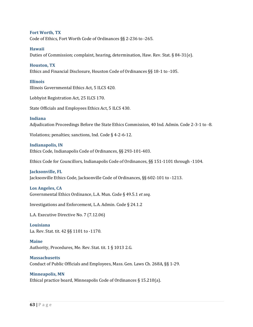**Fort Worth, TX** Code of Ethics, Fort Worth Code of Ordinances §§ 2‐236 to ‐265.

#### **Hawaii**

Duties of Commission; complaint, hearing, determination, Haw. Rev. Stat. § 84‐31(e).

#### **Houston, TX**

Ethics and Financial Disclosure, Houston Code of Ordinances §§ 18‐1 to ‐105.

#### **Illinois**

Illinois Governmental Ethics Act, 5 ILCS 420.

Lobbyist Registration Act, 25 ILCS 170.

State Officials and Employees Ethics Act, 5 ILCS 430.

#### **Indiana**

Adjudication Proceedings Before the State Ethics Commission, 40 Ind. Admin. Code 2‐3‐1 to ‐8.

Violations; penalties; sanctions, Ind. Code § 4‐2‐6‐12.

#### **Indianapolis, IN**

Ethics Code, Indianapolis Code of Ordinances, §§ 293‐101‐403.

Ethics Code for Councillors, Indianapolis Code of Ordinances, §§ 151‐1101 through ‐1104.

## **Jacksonville, FL**

Jacksonville Ethics Code, Jacksonville Code of Ordinances, §§ 602‐101 to ‐1213.

#### **Los Angeles, CA**

Governmental Ethics Ordinance, L.A. Mun. Code § 49.5.1 *et seq.*

Investigations and Enforcement, L.A. Admin. Code § 24.1.2

L.A. Executive Directive No. 7 (7.12.06)

#### **Louisiana**

La. Rev. Stat. tit. 42 §§ 1101 to ‐1170.

#### **Maine**

Authority, Procedures, Me. Rev. Stat. tit. 1 § 1013 2.G.

#### **Massachusetts**

Conduct of Public Officials and Employees, Mass. Gen. Laws Ch. 268A, §§ 1‐29.

#### **Minneapolis, MN**

Ethical practice board, Minneapolis Code of Ordinances § 15.210(a).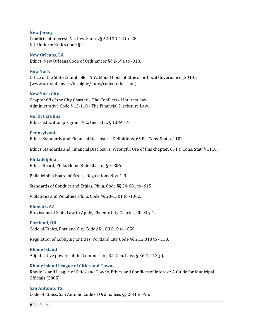#### **New Jersey**

Conflicts of Interest, N.J. Rev. Stats. §§ 52:13D‐12 to ‐28. N.J. Uniform Ethics Code § I.

#### **New Orleans, LA**

Ethics, New Orleans Code of Ordinances §§ 2‐691 to ‐810.

#### **New York**

Office of the State Comptroller N.Y., Model Code of Ethics for Local Governance (2010). (www.osc.state.ny.us/localgov/pubs/codeofethics.pdf)

#### **New York City**

Chapter 68 of the City Charter – The Conflicts of Interest Law. Administrative Code § 12‐110 ‐ The Financial Disclosure Law.

#### **North Carolina**

Ethics education program, N.C. Gen. Stat. § 138A 14.

#### **Pennsylvania**

Ethics Standards and Financial Disclosure, Definitions, 65 Pa. Cons. Stat. § 1102.

Ethics Standards and Financial Disclosure, Wrongful Use of this chapter, 65 Pa. Cons. Stat. § 1110.

#### **Philadelphia**

Ethics Board, Phila. Home Rule Charter § 3‐806.

Philadelphia Board of Ethics, Regulations Nos. 1‐9.

Standards of Conduct and Ethics, Phila. Code §§ 20‐601 to ‐615.

Violations and Penalties, Phila. Code §§ 20‐1301 to ‐1302.

#### **Phoenix, AZ**

Provisions of State Law to Apply, Phoenix City Charter, Ch. XI § 1.

#### **Portland, OR**

Code of Ethics, Portland City Code §§ 1.03.010 to ‐.050.

Regulation of Lobbying Entities, Portland City Code §§ 2.12.010 to ‐.130.

#### **Rhode Island**

Adjudicative powers of the Commission, R.I. Gen. Laws § 36‐14‐13(g).

#### **Rhode Island League of Cities and Towns**

Rhode Island League of Cities and Towns, Ethics and Conflicts of Interest: A Guide for Municipal Officials (2005).

#### **San Antonio, TX**

Code of Ethics, San Antonio Code of Ordinances §§ 2‐41 to ‐95.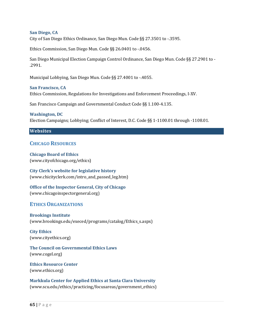#### **San Diego, CA**

City of San Diego Ethics Ordinance, San Diego Mun. Code §§ 27.3501 to ‐.3595.

Ethics Commission, San Diego Mun. Code §§ 26.0401 to ‐.0456.

San Diego Municipal Election Campaign Control Ordinance, San Diego Mun. Code §§ 27.2901 to ‐ .2991.

Municipal Lobbying, San Diego Mun. Code §§ 27.4001 to ‐.4055.

**San Francisco, CA** Ethics Commission, Regulations for Investigations and Enforcement Proceedings, I‐XV.

San Francisco Campaign and Governmental Conduct Code §§ 1.100‐4.135.

#### **Washington, DC**

Election Campaigns; Lobbying; Conflict of Interest, D.C. Code §§ 1‐1100.01 through ‐1108.01.

#### **Websites**

#### **CHICAGO RESOURCES**

**Chicago Board of Ethics** (www.cityofchicago.org/ethics)

**City Clerk's website for legislative history** (www.chicityclerk.com/intro\_and\_passed\_leg.htm)

**Office of the Inspector General, City of Chicago** (www.chicagoinspectorgeneral.org)

## **ETHICS ORGANIZATIONS**

**Brookings Institute** (www.brookings.edu/execed/programs/catalog/Ethics\_s.aspx)

**City Ethics**  (www.cityethics.org)

**The Council on Governmental Ethics Laws**  (www.cogel.org)

**Ethics Resource Center** (www.ethics.org)

**Markkula Center for Applied Ethics at Santa Clara University** (www.scu.edu/ethics/practicing/focusareas/government\_ethics)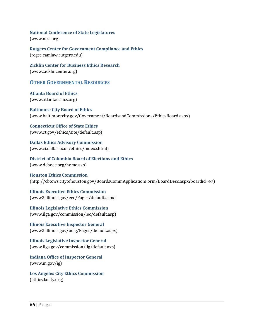**National Conference of State Legislatures**  (www.ncsl.org)

**Rutgers Center for Government Compliance and Ethics** (rcgce.camlaw.rutgers.edu)

**Zicklin Center for Business Ethics Research**  (www.zicklincenter.org)

## **OTHER GOVERNMENTAL RESOURCES**

**Atlanta Board of Ethics**  (www.atlantaethics.org)

**Baltimore City Board of Ethics** (www.baltimorecity.gov/Government/BoardsandCommissions/EthicsBoard.aspx)

**Connecticut Office of State Ethics** (www.ct.gov/ethics/site/default.asp)

**Dallas Ethics Advisory Commission**  (www.ci.dallas.tx.us/ethics/index.shtml)

**District of Columbia Board of Elections and Ethics**  (www.dcboee.org/home.asp)

**Houston Ethics Commission** (http://cbtcws.cityofhouston.gov/BoardsCommApplicationForm/BoardDesc.aspx?boardid=47)

**Illinois Executive Ethics Commission**  (www2.illinois.gov/eec/Pages/default.aspx)

**Illinois Legislative Ethics Commission** (www.ilga.gov/commission/lec/default.asp)

**Illinois Executive Inspector General** (www2.illinois.gov/oeig/Pages/default.aspx)

**Illinois Legislative Inspector General**  (www.ilga.gov/commission/lig/default.asp)

**Indiana Office of Inspector General**  (www.in.gov/ig)

**Los Angeles City Ethics Commission**  (ethics.lacity.org)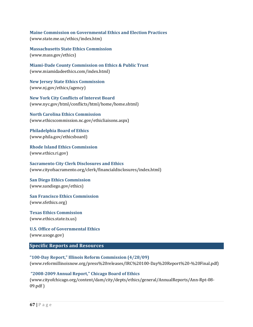**Maine Commission on Governmental Ethics and Election Practices** (www.state.me.us/ethics/index.htm)

**Massachusetts State Ethics Commission**  (www.mass.gov/ethics)

**MiamiDade County Commission on Ethics & Public Trust** (www.miamidadeethics.com/index.html)

**New Jersey State Ethics Commission**  (www.nj.gov/ethics/agency)

**New York City Conflicts of Interest Board**  (www.nyc.gov/html/conflicts/html/home/home.shtml)

**North Carolina Ethics Commission** (www.ethicscommission.nc.gov/ethicliaisons.aspx)

**Philadelphia Board of Ethics**  (www.phila.gov/ethicsboard)

**Rhode Island Ethics Commission**  (www.ethics.ri.gov)

**Sacramento City Clerk Disclosures and Ethics** (www.cityofsacramento.org/clerk/financialdisclosures/index.html)

**San Diego Ethics Commission**  (www.sandiego.gov/ethics)

**San Francisco Ethics Commission**  (www.sfethics.org)

**Texas Ethics Commission**  (www.ethics.state.tx.us)

**U.S. Office of Governmental Ethics** (www.usoge.gov)

#### **Specific Reports and Resources**

**"100Day Report," Illinois Reform Commission (4/28/09)** (www.reformillinoisnow.org/press%20releases/IRC%20100‐Day%20Report%20‐%20Final.pdf)

#### **"20082009 Annual Report," Chicago Board of Ethics**

(www.cityofchicago.org/content/dam/city/depts/ethics/general/AnnualReports/Ann‐Rpt‐08‐ 09.pdf )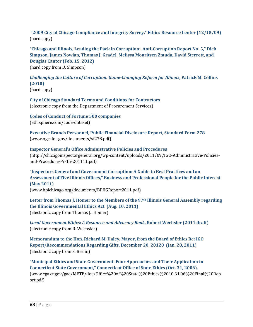**"2009 City of Chicago Compliance and Integrity Survey," Ethics Resource Center (12/15/09)** (hard copy)

**"Chicago and Illinois, Leading the Pack in Corruption: AntiCorruption Report No. 5," Dick Simpson, James Nowlan, Thomas J. Gradel, Melissa Mouritsen Zmuda, David Sterrett, and Douglas Cantor (Feb. 15, 2012)** (hard copy from D. Simpson)

*Challenging the Culture of Corruption: GameChanging Reform for Illinois***, Patrick M. Collins (2010)**

(hard copy)

**City of Chicago Standard Terms and Conditions for Contractors** (electronic copy from the Department of Procurement Services)

**Codes of Conduct of Fortune 500 companies**  (ethisphere.com/code‐dataset)

**Executive Branch Personnel, Public Financial Disclosure Report, Standard Form 278** (www.ogc.doc.gov/documents/sf278.pdf)

**Inspector General's Office Administrative Policies and Procedures** (http://chicagoinspectorgeneral.org/wp‐content/uploads/2011/09/IGO‐Administrative‐Policies‐ and‐Procedures‐9‐15‐201111.pdf)

**"Inspectors General and Government Corruption: A Guide to Best Practices and an Assessment of Five Illinois Offices," Business and Professional People for the Public Interest (May 2011)** (www.bpichicago.org/documents/BPIIGReport2011.pdf)

**Letter from Thomas J. Homer to the Members of the 97th Illinois General Assembly regarding the Illinois Governmental Ethics Act (Aug. 10, 2011)** (electronic copy from Thomas J. Homer)

*Local Government Ethics: A Resource and Advocacy Book***, Robert Wechsler (2011 draft)** (electronic copy from R. Wechsler)

**Memorandum to the Hon. Richard M. Daley, Mayor, from the Board of Ethics Re: IGO Report/Recommendations Regarding Gifts, December 20, 20120 (Jan. 28, 2011)** (electronic copy from S. Berlin)

**"Municipal Ethics and State Government: Four Approaches and Their Application to Connecticut State Government," Connecticut Office of State Ethics (Oct. 31, 2006).** (www.cga.ct.gov/gae/METF/doc/Office%20of%20State%20Ethics%2010.31.06%20Final%20Rep ort.pdf)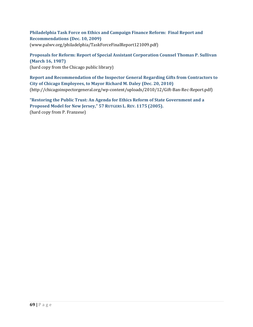#### **Philadelphia Task Force on Ethics and Campaign Finance Reform: Final Report and Recommendations (Dec. 10, 2009)** (www.palwv.org/philadelphia/TaskForceFinalReport121009.pdf)

**Proposals for Reform: Report of Special Assistant Corporation Counsel Thomas P. Sullivan (March 16, 1987)** (hard copy from the Chicago public library)

**Report and Recommendation of the Inspector General Regarding Gifts from Contractors to City of Chicago Employees, to Mayor Richard M. Daley (Dec. 20, 2010)** (http://chicagoinspectorgeneral.org/wp‐content/uploads/2010/12/Gift‐Ban‐Rec‐Report.pdf)

**"Restoring the Public Trust: An Agenda for Ethics Reform of State Government and a Proposed Model for New Jersey," 57 RUTGERS L. REV. 1175 (2005).** (hard copy from P. Franzese)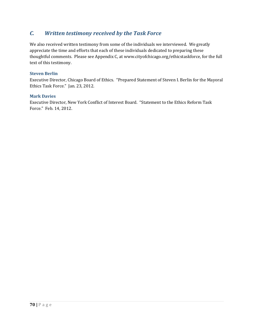# *C. Written testimony received by the Task Force*

We also received written testimony from some of the individuals we interviewed. We greatly appreciate the time and efforts that each of these individuals dedicated to preparing these thoughtful comments. Please see Appendix C, at www.cityofchicago.org/ethicstaskforce, for the full text of this testimony.

#### **Steven Berlin**

Executive Director, Chicago Board of Ethics. "Prepared Statement of Steven I. Berlin for the Mayoral Ethics Task Force." Jan. 23, 2012.

#### **Mark Davies**

Executive Director, New York Conflict of Interest Board. "Statement to the Ethics Reform Task Force." Feb. 14, 2012.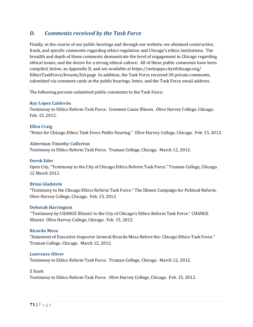## *D. Comments received by the Task Force*

Finally, in the course of our public hearings and through our website, we obtained constructive, frank, and specific comments regarding ethics regulation and Chicago's ethics institutions. The breadth and depth of these comments demonstrate the level of engagement in Chicago regarding ethical issues, and the desire for a strong ethical culture. All of these public comments have been compiled, below, as Appendix D, and are available at https://webapps.cityofchicago.org/ EthicsTaskForce/forums/list.page In addition, the Task Force received 30 private comments, submitted via comment cards at the public hearings, letter, and the Task Force email address.

The following persons submitted public comments to the Task Force:

#### **Ray Lopez Calderón**

Testimony to Ethics Reform Task Force. Common Cause Illinois. Olive Harvey College, Chicago. Feb. 15, 2012.

**Ellen Craig**  "Notes for Chicago Ethics Task Force Public Hearing." Olive Harvey College, Chicago. Feb. 15, 2012.

#### **Alderman Timothy Cullerton**

Testimony to Ethics Reform Task Force. Truman College, Chicago. March 12, 2012.

#### **Derek Eder**

Open City, "Testimony to the City of Chicago Ethics Reform Task Force." Truman College, Chicago. 12 March 2012.

#### **Brian Gladstein**

"Testimony to the Chicago Ethics Reform Task Force." The Illinois Campaign for Political Reform. Olive Harvey College, Chicago. Feb. 15, 2012.

#### **Deborah Harrington**

 "Testimony by CHANGE Illinois! to the City of Chicago's Ethics Reform Task Force." CHANGE Illinois! Olive Harvey College, Chicago. Feb. 15, 2012.

#### **Ricardo Meza**

"Statement of Executive Inspector General Ricardo Meza Before the: Chicago Ethics Task Force." Truman College, Chicago. March 12, 2012.

#### **Lawrence Oliver**

Testimony to Ethics Reform Task Force. Truman College, Chicago. March 12, 2012.

#### **Z Scott**

Testimony to Ethics Reform Task Force. Olive Harvey College, Chicago. Feb. 15, 2012.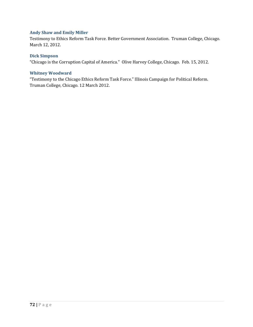### **Andy Shaw and Emily Miller**

Testimony to Ethics Reform Task Force. Better Government Association. Truman College, Chicago. March 12, 2012.

#### **Dick Simpson**

"Chicago is the Corruption Capital of America." Olive Harvey College, Chicago. Feb. 15, 2012.

#### **Whitney Woodward**

"Testimony to the Chicago Ethics Reform Task Force." Illinois Campaign for Political Reform. Truman College, Chicago. 12 March 2012.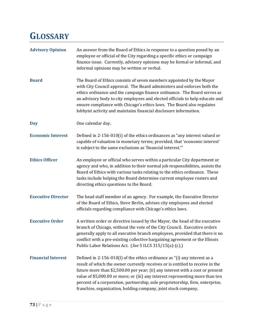# **GLOSSARY**

| <b>Advisory Opinion</b>   | An answer from the Board of Ethics in response to a question posed by an<br>employee or official of the City regarding a specific ethics or campaign<br>finance issue. Currently, advisory opinions may be formal or informal, and<br>informal opinions may be written or verbal.                                                                                                                                                                                                |
|---------------------------|----------------------------------------------------------------------------------------------------------------------------------------------------------------------------------------------------------------------------------------------------------------------------------------------------------------------------------------------------------------------------------------------------------------------------------------------------------------------------------|
| <b>Board</b>              | The Board of Ethics consists of seven members appointed by the Mayor<br>with City Council approval. The Board administers and enforces both the<br>ethics ordinance and the campaign finance ordinance. The Board serves as<br>an advisory body to city employees and elected officials to help educate and<br>ensure compliance with Chicago's ethics laws. The Board also regulates<br>lobbyist activity and maintains financial disclosure information.                       |
| <b>Day</b>                | One calendar day.                                                                                                                                                                                                                                                                                                                                                                                                                                                                |
| <b>Economic Interest</b>  | Defined in 2-156-010(i) of the ethics ordinances as "any interest valued or<br>capable of valuation in monetary terms; provided, that 'economic interest'<br>is subject to the same exclusions as 'financial interest."                                                                                                                                                                                                                                                          |
| <b>Ethics Officer</b>     | An employee or official who serves within a particular City department or<br>agency and who, in addition to their normal job responsibilities, assists the<br>Board of Ethics with various tasks relating to the ethics ordinance. These<br>tasks include helping the Board determine current employee rosters and<br>directing ethics questions to the Board.                                                                                                                   |
| <b>Executive Director</b> | The head staff member of an agency. For example, the Executive Director<br>of the Board of Ethics, Steve Berlin, advises city employees and elected<br>officials regarding compliance with Chicago's ethics laws.                                                                                                                                                                                                                                                                |
| <b>Executive Order</b>    | A written order or directive issued by the Mayor, the head of the executive<br>branch of Chicago, without the vote of the City Council. Executive orders<br>generally apply to all executive branch employees, provided that there is no<br>conflict with a pre-existing collective bargaining agreement or the Illinois<br>Public Labor Relations Act. (See 5 ILCS 315/15(a)-(c).)                                                                                              |
| <b>Financial Interest</b> | Defined in 2-156-010(l) of the ethics ordinance as "(i) any interest as a<br>result of which the owner currently receives or is entitled to receive in the<br>future more than \$2,500.00 per year; (ii) any interest with a cost or present<br>value of \$5,000.00 or more; or (iii) any interest representing more than ten<br>percent of a corporation, partnership, sole proprietorship, firm, enterprise,<br>franchise, organization, holding company, joint stock company, |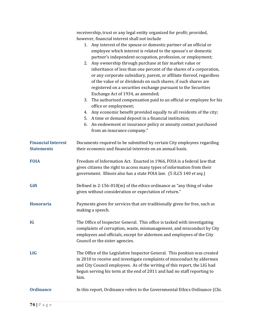|                                                | receivership, trust or any legal entity organized for profit; provided,<br>however, financial interest shall not include<br>1. Any interest of the spouse or domestic partner of an official or<br>employee which interest is related to the spouse's or domestic<br>partner's independent occupation, profession, or employment;<br>2. Any ownership through purchase at fair market value or<br>inheritance of less than one percent of the shares of a corporation,<br>or any corporate subsidiary, parent, or affiliate thereof, regardless<br>of the value of or dividends on such shares, if such shares are<br>registered on a securities exchange pursuant to the Securities<br>Exchange Act of 1934, as amended;<br>3. The authorized compensation paid to an official or employee for his<br>office or employment;<br>Any economic benefit provided equally to all residents of the city;<br>4.<br>5. A time or demand deposit in a financial institution;<br>An endowment or insurance policy or annuity contact purchased<br>6.<br>from an insurance company." |
|------------------------------------------------|----------------------------------------------------------------------------------------------------------------------------------------------------------------------------------------------------------------------------------------------------------------------------------------------------------------------------------------------------------------------------------------------------------------------------------------------------------------------------------------------------------------------------------------------------------------------------------------------------------------------------------------------------------------------------------------------------------------------------------------------------------------------------------------------------------------------------------------------------------------------------------------------------------------------------------------------------------------------------------------------------------------------------------------------------------------------------|
| <b>Financial Interest</b><br><b>Statements</b> | Documents required to be submitted by certain City employees regarding<br>their economic and financial interests on an annual basis.                                                                                                                                                                                                                                                                                                                                                                                                                                                                                                                                                                                                                                                                                                                                                                                                                                                                                                                                       |
| <b>FOIA</b>                                    | Freedom of Information Act. Enacted in 1966, FOIA is a federal law that<br>gives citizens the right to access many types of information from their<br>government. Illinois also has a state FOIA law. (5 ILCS 140 et seq.)                                                                                                                                                                                                                                                                                                                                                                                                                                                                                                                                                                                                                                                                                                                                                                                                                                                 |
| Gift                                           | Defined in $2-156-010(m)$ of the ethics ordinance as "any thing of value<br>given without consideration or expectation of return."                                                                                                                                                                                                                                                                                                                                                                                                                                                                                                                                                                                                                                                                                                                                                                                                                                                                                                                                         |
| <b>Honoraria</b>                               | Payments given for services that are traditionally given for free, such as<br>making a speech.                                                                                                                                                                                                                                                                                                                                                                                                                                                                                                                                                                                                                                                                                                                                                                                                                                                                                                                                                                             |
| <b>IG</b>                                      | The Office of Inspector General. This office is tasked with investigating<br>complaints of corruption, waste, mismanagement, and misconduct by City<br>employees and officials, except for aldermen and employees of the City<br>Council or the sister agencies.                                                                                                                                                                                                                                                                                                                                                                                                                                                                                                                                                                                                                                                                                                                                                                                                           |
| <b>LIG</b>                                     | The Office of the Legislative Inspector General. This position was created<br>in 2010 to receive and investigate complaints of misconduct by aldermen<br>and City Council employees. As of the writing of this report, the LIG had<br>begun serving his term at the end of 2011 and had no staff reporting to<br>him.                                                                                                                                                                                                                                                                                                                                                                                                                                                                                                                                                                                                                                                                                                                                                      |
| <b>Ordinance</b>                               | In this report, Ordinance refers to the Governmental Ethics Ordinance (Chi.                                                                                                                                                                                                                                                                                                                                                                                                                                                                                                                                                                                                                                                                                                                                                                                                                                                                                                                                                                                                |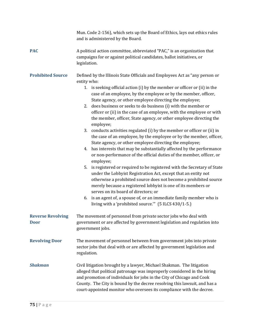|                                         | Mun. Code 2-156), which sets up the Board of Ethics, lays out ethics rules<br>and is administered by the Board.                                                                                                                                                                                                                                                                                                                                                                                                                                                                                                                                                                                                                                                                                                                                                                                                                                                                                                                                                                                                                                                                                                                                                                                                                                                                          |
|-----------------------------------------|------------------------------------------------------------------------------------------------------------------------------------------------------------------------------------------------------------------------------------------------------------------------------------------------------------------------------------------------------------------------------------------------------------------------------------------------------------------------------------------------------------------------------------------------------------------------------------------------------------------------------------------------------------------------------------------------------------------------------------------------------------------------------------------------------------------------------------------------------------------------------------------------------------------------------------------------------------------------------------------------------------------------------------------------------------------------------------------------------------------------------------------------------------------------------------------------------------------------------------------------------------------------------------------------------------------------------------------------------------------------------------------|
| <b>PAC</b>                              | A political action committee, abbreviated "PAC," is an organization that<br>campaigns for or against political candidates, ballot initiatives, or<br>legislation.                                                                                                                                                                                                                                                                                                                                                                                                                                                                                                                                                                                                                                                                                                                                                                                                                                                                                                                                                                                                                                                                                                                                                                                                                        |
| <b>Prohibited Source</b>                | Defined by the Illinois State Officials and Employees Act as "any person or<br>entity who:<br>1. is seeking official action (i) by the member or officer or (ii) in the<br>case of an employee, by the employee or by the member, officer,<br>State agency, or other employee directing the employee;<br>does business or seeks to do business (i) with the member or<br>2.<br>officer or (ii) in the case of an employee, with the employee or with<br>the member, officer, State agency, or other employee directing the<br>employee;<br>conducts activities regulated (i) by the member or officer or (ii) in<br>3.<br>the case of an employee, by the employee or by the member, officer,<br>State agency, or other employee directing the employee;<br>4. has interests that may be substantially affected by the performance<br>or non-performance of the official duties of the member, officer, or<br>employee;<br>is registered or required to be registered with the Secretary of State<br>5.<br>under the Lobbyist Registration Act, except that an entity not<br>otherwise a prohibited source does not become a prohibited source<br>merely because a registered lobbyist is one of its members or<br>serves on its board of directors; or<br>6. is an agent of, a spouse of, or an immediate family member who is<br>living with a 'prohibited source."" (5 ILCS 430/1-5.) |
| <b>Reverse Revolving</b><br><b>Door</b> | The movement of personnel from private sector jobs who deal with<br>government or are affected by government legislation and regulation into<br>government jobs.                                                                                                                                                                                                                                                                                                                                                                                                                                                                                                                                                                                                                                                                                                                                                                                                                                                                                                                                                                                                                                                                                                                                                                                                                         |
| <b>Revolving Door</b>                   | The movement of personnel between from government jobs into private<br>sector jobs that deal with or are affected by government legislation and<br>regulation.                                                                                                                                                                                                                                                                                                                                                                                                                                                                                                                                                                                                                                                                                                                                                                                                                                                                                                                                                                                                                                                                                                                                                                                                                           |
| <b>Shakman</b>                          | Civil litigation brought by a lawyer, Michael Shakman. The litigation<br>alleged that political patronage was improperly considered in the hiring<br>and promotion of individuals for jobs in the City of Chicago and Cook<br>County. The City is bound by the decree resolving this lawsuit, and has a<br>court-appointed monitor who oversees its compliance with the decree.                                                                                                                                                                                                                                                                                                                                                                                                                                                                                                                                                                                                                                                                                                                                                                                                                                                                                                                                                                                                          |